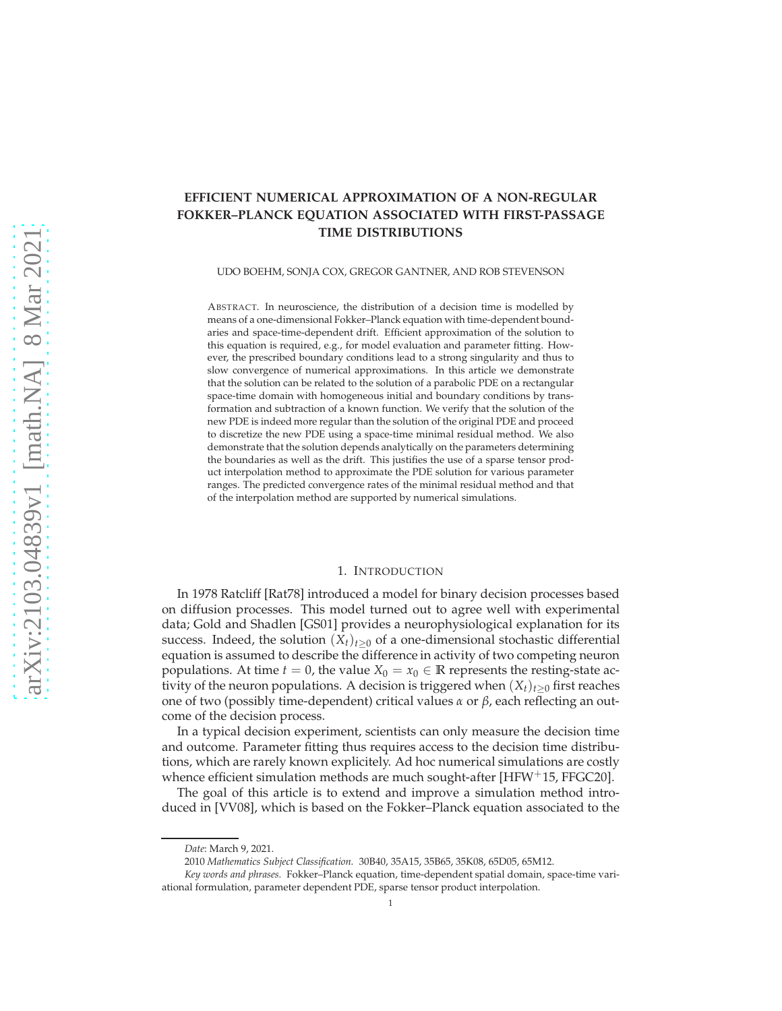# **EFFICIENT NUMERICAL APPROXIMATION OF A NON-REGULAR FOKKER–PLANCK EQUATION ASSOCIATED WITH FIRST-PASSAGE TIME DISTRIBUTIONS**

UDO BOEHM, SONJA COX, GREGOR GANTNER, AND ROB STEVENSON

ABSTRACT. In neuroscience, the distribution of a decision time is modelled by means of a one-dimensional Fokker–Planck equation with time-dependent boundaries and space-time-dependent drift. Efficient approximation of the solution to this equation is required, e.g., for model evaluation and parameter fitting. However, the prescribed boundary conditions lead to a strong singularity and thus to slow convergence of numerical approximations. In this article we demonstrate that the solution can be related to the solution of a parabolic PDE on a rectangular space-time domain with homogeneous initial and boundary conditions by transformation and subtraction of a known function. We verify that the solution of the new PDE is indeed more regular than the solution of the original PDE and proceed to discretize the new PDE using a space-time minimal residual method. We also demonstrate that the solution depends analytically on the parameters determining the boundaries as well as the drift. This justifies the use of a sparse tensor product interpolation method to approximate the PDE solution for various parameter ranges. The predicted convergence rates of the minimal residual method and that of the interpolation method are supported by numerical simulations.

#### 1. INTRODUCTION

In 1978 Ratcliff [Rat78] introduced a model for binary decision processes based on diffusion processes. This model turned out to agree well with experimental data; Gold and Shadlen [GS01] provides a neurophysiological explanation for its success. Indeed, the solution  $(X_t)_{t>0}$  of a one-dimensional stochastic differential equation is assumed to describe the difference in activity of two competing neuron populations. At time  $t = 0$ , the value  $X_0 = x_0 \in \mathbb{R}$  represents the resting-state activity of the neuron populations. A decision is triggered when  $(X_t)_{t>0}$  first reaches one of two (possibly time-dependent) critical values *α* or *β*, each reflecting an outcome of the decision process.

In a typical decision experiment, scientists can only measure the decision time and outcome. Parameter fitting thus requires access to the decision time distributions, which are rarely known explicitely. Ad hoc numerical simulations are costly whence efficient simulation methods are much sought-after [HFW $+15$ , FFGC20].

The goal of this article is to extend and improve a simulation method introduced in [VV08], which is based on the Fokker–Planck equation associated to the

*Date*: March 9, 2021.

<sup>2010</sup> *Mathematics Subject Classification.* 30B40, 35A15, 35B65, 35K08, 65D05, 65M12.

*Key words and phrases.* Fokker–Planck equation, time-dependent spatial domain, space-time variational formulation, parameter dependent PDE, sparse tensor product interpolation.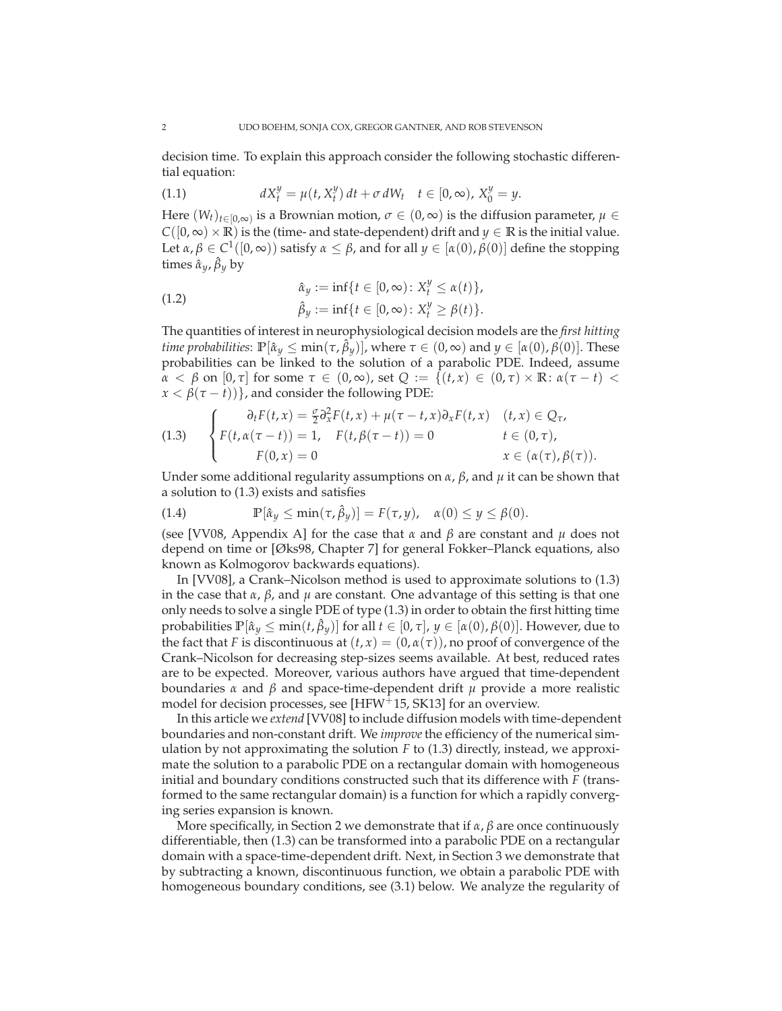decision time. To explain this approach consider the following stochastic differential equation:

(1.1) 
$$
dX_t^y = \mu(t, X_t^y) dt + \sigma dW_t \quad t \in [0, \infty), X_0^y = y.
$$

Here  $(W_t)_{t \in [0,\infty)}$  is a Brownian motion,  $\sigma \in (0,\infty)$  is the diffusion parameter,  $\mu \in$  $C([0,\infty) \times \mathbb{R})$  is the (time- and state-dependent) drift and *y* ∈ **R** is the initial value. Let  $\alpha, \beta \in C^1([0,\infty))$  satisfy  $\alpha \leq \beta$ , and for all  $y \in [\alpha(0), \beta(0)]$  define the stopping times  $\hat{\alpha}_y$ ,  $\hat{\beta}_y$  by

(1.2) 
$$
\hat{\alpha}_y := \inf\{t \in [0, \infty) : X_t^y \le \alpha(t)\},\newline \hat{\beta}_y := \inf\{t \in [0, \infty) : X_t^y \ge \beta(t)\}.
$$

The quantities of interest in neurophysiological decision models are the *first hitting time probabilities*:  $\mathbb{P}[\hat{\alpha}_y \le \min(\tau, \hat{\beta}_y)]$ , where  $\tau \in (0, \infty)$  and  $y \in [\alpha(0), \beta(0)]$ . These probabilities can be linked to the solution of a parabolic PDE. Indeed, assume *α* < *β* on [0, *τ*] for some *τ* ∈ (0, ∞), set *Q* := {(*t*, *x*) ∈ (0, *τ*) × **R**:  $α(τ - t)$  <  $x < \beta(\tau - t)$ }, and consider the following PDE:

(1.3) 
$$
\begin{cases} \n\partial_t F(t, x) = \frac{\sigma}{2} \partial_x^2 F(t, x) + \mu(\tau - t, x) \partial_x F(t, x) & (t, x) \in Q_\tau, \\ \nF(t, \alpha(\tau - t)) = 1, & F(t, \beta(\tau - t)) = 0 \n\end{cases} \quad t \in (0, \tau),
$$
  
\n $x \in (\alpha(\tau), \beta(\tau)).$ 

Under some additional regularity assumptions on *α*, *β*, and *µ* it can be shown that a solution to (1.3) exists and satisfies

(1.4) 
$$
\mathbb{P}[\hat{\alpha}_y \leq \min(\tau, \hat{\beta}_y)] = F(\tau, y), \quad \alpha(0) \leq y \leq \beta(0).
$$

(see [VV08, Appendix A] for the case that  $\alpha$  and  $\beta$  are constant and  $\mu$  does not depend on time or [Øks98, Chapter 7] for general Fokker–Planck equations, also known as Kolmogorov backwards equations).

In [VV08], a Crank–Nicolson method is used to approximate solutions to (1.3) in the case that  $\alpha$ ,  $\beta$ , and  $\mu$  are constant. One advantage of this setting is that one only needs to solve a single PDE of type (1.3) in order to obtain the first hitting time probabilities  $\mathbb{P}[\hat{a}_y \le \min(t, \hat{\beta}_y)]$  for all  $t \in [0, \tau]$ ,  $y \in [\alpha(0), \beta(0)]$ . However, due to the fact that *F* is discontinuous at  $(t, x) = (0, \alpha(\tau))$ , no proof of convergence of the Crank–Nicolson for decreasing step-sizes seems available. At best, reduced rates are to be expected. Moreover, various authors have argued that time-dependent boundaries *α* and *β* and space-time-dependent drift *µ* provide a more realistic model for decision processes, see [HFW+15, SK13] for an overview.

In this article we *extend* [VV08] to include diffusion models with time-dependent boundaries and non-constant drift. We *improve*the efficiency of the numerical simulation by not approximating the solution *F* to (1.3) directly, instead, we approximate the solution to a parabolic PDE on a rectangular domain with homogeneous initial and boundary conditions constructed such that its difference with *F* (transformed to the same rectangular domain) is a function for which a rapidly converging series expansion is known.

More specifically, in Section 2 we demonstrate that if *α*, *β* are once continuously differentiable, then (1.3) can be transformed into a parabolic PDE on a rectangular domain with a space-time-dependent drift. Next, in Section 3 we demonstrate that by subtracting a known, discontinuous function, we obtain a parabolic PDE with homogeneous boundary conditions, see (3.1) below. We analyze the regularity of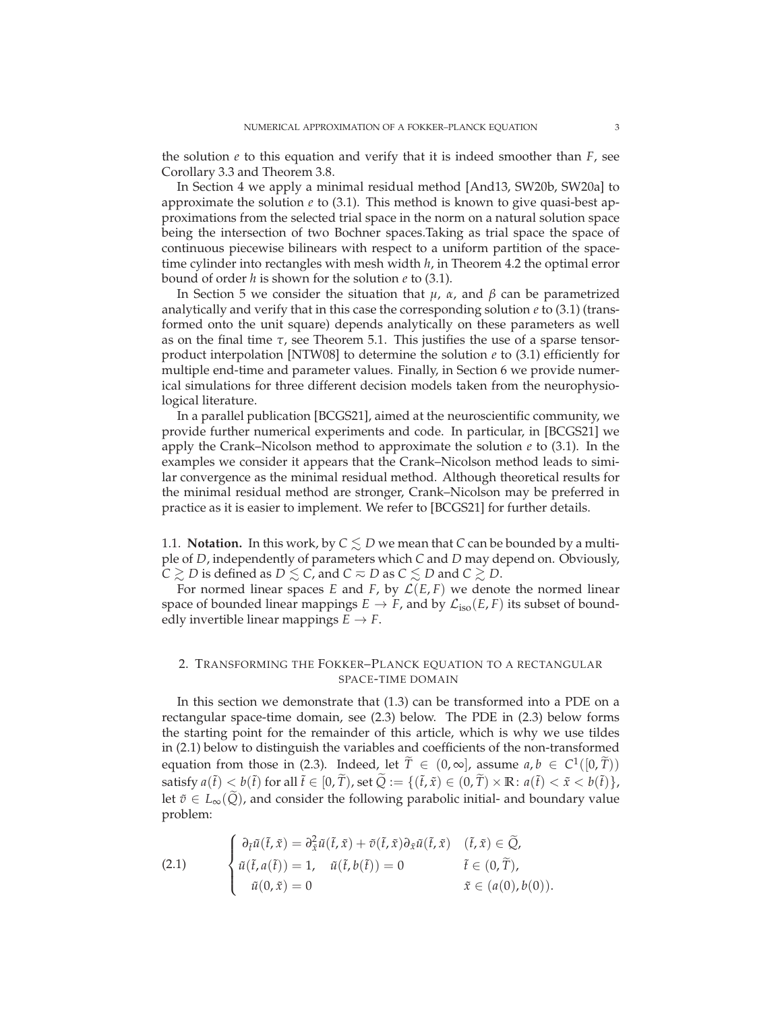the solution  $e$  to this equation and verify that it is indeed smoother than  $F$ , see Corollary 3.3 and Theorem 3.8.

In Section 4 we apply a minimal residual method [And13, SW20b, SW20a] to approximate the solution *e* to (3.1). This method is known to give quasi-best approximations from the selected trial space in the norm on a natural solution space being the intersection of two Bochner spaces.Taking as trial space the space of continuous piecewise bilinears with respect to a uniform partition of the spacetime cylinder into rectangles with mesh width *h*, in Theorem 4.2 the optimal error bound of order *h* is shown for the solution *e* to (3.1).

In Section 5 we consider the situation that *µ*, *α*, and *β* can be parametrized analytically and verify that in this case the corresponding solution  $e$  to (3.1) (transformed onto the unit square) depends analytically on these parameters as well as on the final time *τ*, see Theorem 5.1. This justifies the use of a sparse tensorproduct interpolation [NTW08] to determine the solution  $e$  to (3.1) efficiently for multiple end-time and parameter values. Finally, in Section 6 we provide numerical simulations for three different decision models taken from the neurophysiological literature.

In a parallel publication [BCGS21], aimed at the neuroscientific community, we provide further numerical experiments and code. In particular, in [BCGS21] we apply the Crank–Nicolson method to approximate the solution *e* to (3.1). In the examples we consider it appears that the Crank–Nicolson method leads to similar convergence as the minimal residual method. Although theoretical results for the minimal residual method are stronger, Crank–Nicolson may be preferred in practice as it is easier to implement. We refer to [BCGS21] for further details.

1.1. **Notation.** In this work, by  $C \leq D$  we mean that *C* can be bounded by a multiple of *D*, independently of parameters which *C* and *D* may depend on. Obviously,  $C \gtrsim D$  is defined as  $D \lesssim C$ , and  $C \approx D$  as  $C \lesssim D$  and  $C \gtrsim D$ .

For normed linear spaces *E* and *F*, by  $\mathcal{L}(E, F)$  we denote the normed linear space of bounded linear mappings  $E \to F$ , and by  $\mathcal{L}_{iso}(E, F)$  its subset of boundedly invertible linear mappings  $E \to F$ .

## 2. TRANSFORMING THE FOKKER–PLANCK EQUATION TO A RECTANGULAR SPACE-TIME DOMAIN

In this section we demonstrate that (1.3) can be transformed into a PDE on a rectangular space-time domain, see (2.3) below. The PDE in (2.3) below forms the starting point for the remainder of this article, which is why we use tildes in (2.1) below to distinguish the variables and coefficients of the non-transformed equation from those in (2.3). Indeed, let  $\tilde{T} \in (0, \infty]$ , assume  $a, b \in C^1([0, \tilde{T}))$ satisfy  $a(\tilde{t}) < b(\tilde{t})$  for all  $\tilde{t} \in [0, \tilde{T})$ , set  $\tilde{Q} := \{(\tilde{t}, \tilde{x}) \in (0, \tilde{T}) \times \mathbb{R} : a(\tilde{t}) < \tilde{x} < b(\tilde{t})\}$ , let  $\tilde{v} \in L_{\infty}(Q)$ , and consider the following parabolic initial- and boundary value problem:

(2.1) 
$$
\begin{cases} \n\frac{\partial \tilde{t}}{\partial t}(\tilde{t}, \tilde{x}) = \frac{\partial^2 \tilde{x}}{\partial t}(\tilde{t}, \tilde{x}) + \tilde{v}(\tilde{t}, \tilde{x}) \frac{\partial \tilde{x}}{\partial t}(\tilde{t}, \tilde{x}) & (\tilde{t}, \tilde{x}) \in \tilde{Q}, \\ \n\tilde{u}(\tilde{t}, a(\tilde{t})) = 1, \quad \tilde{u}(\tilde{t}, b(\tilde{t})) = 0 & \tilde{t} \in (0, \tilde{T}), \\ \n\tilde{u}(0, \tilde{x}) = 0 & \tilde{x} \in (a(0), b(0)). \n\end{cases}
$$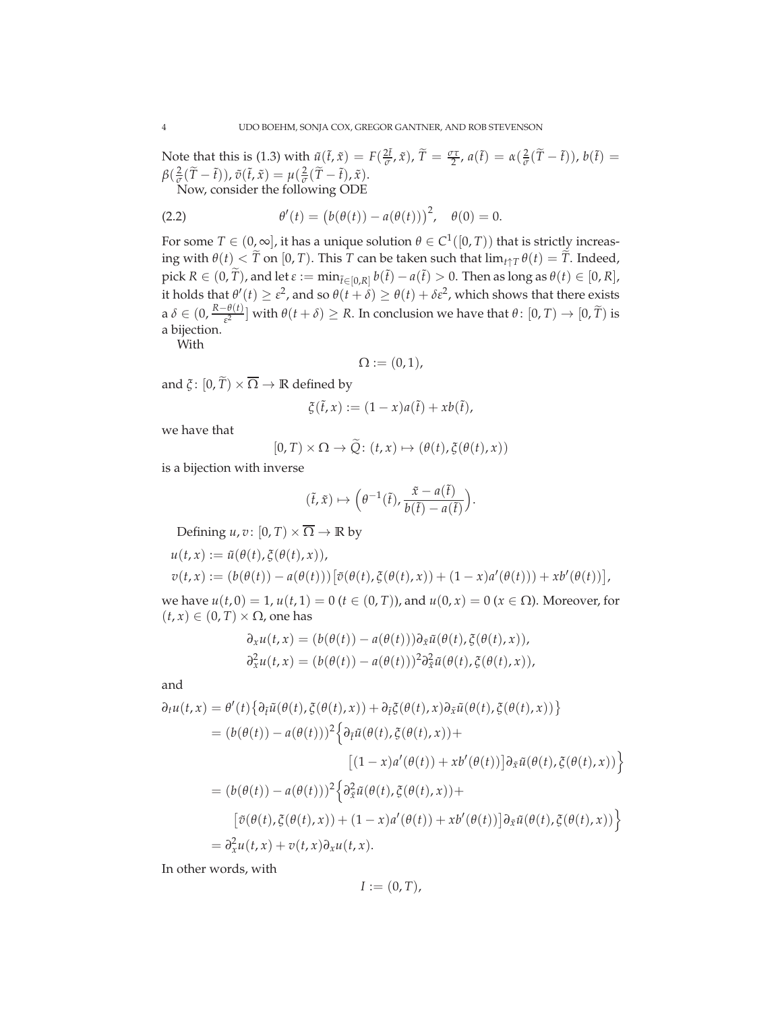Note that this is (1.3) with  $\tilde{u}(\tilde{t}, \tilde{x}) = F(\frac{2\tilde{t}}{\sigma}, \tilde{x})$ ,  $\tilde{T} = \frac{\sigma \tau}{2}$ ,  $a(\tilde{t}) = \alpha(\frac{2}{\sigma}(\tilde{T} - \tilde{t}))$ ,  $b(\tilde{t}) =$  $\beta(\frac{2}{\sigma}(\tilde{T}-\tilde{t})), \tilde{v}(\tilde{t},\tilde{x}) = \mu(\frac{2}{\sigma}(\tilde{T}-\tilde{t}),\tilde{x}).$ Now, consider the following ODE

 $(2.2)$  $J'(t) = (b(\theta(t)) - a(\theta(t)))^{2}, \quad \theta(0) = 0.$ 

For some  $T \in (0, \infty]$ , it has a unique solution  $\theta \in C^1([0, T))$  that is strictly increasing with  $\theta(t) < \tilde{T}$  on [0, *T*). This *T* can be taken such that  $\lim_{t \uparrow T} \theta(t) = \tilde{T}$ . Indeed,  $\text{pick } R \in (0, \widetilde{T})$ , and let  $\varepsilon := \min_{\tilde{t} \in [0, R]} b(\tilde{t}) - a(\tilde{t}) > 0$ . Then as long as  $\theta(t) \in [0, R]$ , it holds that  $\theta'(t) \geq \varepsilon^2$ , and so  $\theta(t + \delta) \geq \theta(t) + \delta \varepsilon^2$ , which shows that there exists  $a \delta \in (0, \frac{R-\theta(t)}{\varepsilon^2}]$  with  $\theta(t+\delta) \ge R$ . In conclusion we have that  $\theta \colon [0, T) \to [0, \widetilde{T})$  is a bijection.

With

$$
\Omega := (0,1),
$$

and  $\xi$ :  $[0, \tilde{T}] \times \overline{\Omega} \rightarrow \mathbb{R}$  defined by

$$
\xi(\tilde{t},x) := (1-x)a(\tilde{t}) + xb(\tilde{t}),
$$

we have that

$$
[0, T) \times \Omega \to \widetilde{Q} \colon (t, x) \mapsto (\theta(t), \xi(\theta(t), x))
$$

is a bijection with inverse

$$
(\tilde{t}, \tilde{x}) \mapsto \left(\theta^{-1}(\tilde{t}), \frac{\tilde{x} - a(\tilde{t})}{b(\tilde{t}) - a(\tilde{t})}\right).
$$

Defining  $u, v: [0, T] \times \overline{\Omega} \to \mathbb{R}$  by

$$
u(t,x) := \tilde{u}(\theta(t), \xi(\theta(t),x)),
$$
  

$$
v(t,x) := (b(\theta(t)) - a(\theta(t))) [\tilde{v}(\theta(t), \xi(\theta(t),x)) + (1-x)a'(\theta(t))) + xb'(\theta(t))],
$$

we have *u*(*t*, 0) = 1, *u*(*t*, 1) = 0 (*t* ∈ (0, *T*)), and *u*(0, *x*) = 0 (*x* ∈ Ω). Moreover, for  $(t, x) \in (0, T) \times \Omega$ , one has

$$
\partial_x u(t, x) = (b(\theta(t)) - a(\theta(t))) \partial_{\tilde{x}} \tilde{u}(\theta(t), \tilde{\xi}(\theta(t), x)),
$$
  

$$
\partial_x^2 u(t, x) = (b(\theta(t)) - a(\theta(t)))^2 \partial_{\tilde{x}}^2 \tilde{u}(\theta(t), \tilde{\xi}(\theta(t), x)),
$$

and

$$
\partial_t u(t, x) = \theta'(t) \{ \partial_{\tilde{t}} \tilde{u}(\theta(t), \tilde{\zeta}(\theta(t), x)) + \partial_{\tilde{t}} \tilde{\zeta}(\theta(t), x) \partial_{\tilde{x}} \tilde{u}(\theta(t), \tilde{\zeta}(\theta(t), x)) \}
$$
\n
$$
= (b(\theta(t)) - a(\theta(t)))^2 \{ \partial_{\tilde{t}} \tilde{u}(\theta(t), \tilde{\zeta}(\theta(t), x)) + [(1 - x)a'(\theta(t)) + xb'(\theta(t))] \partial_{\tilde{x}} \tilde{u}(\theta(t), \tilde{\zeta}(\theta(t), x)) \}
$$
\n
$$
= (b(\theta(t)) - a(\theta(t)))^2 \{ \partial_{\tilde{x}}^2 \tilde{u}(\theta(t), \tilde{\zeta}(\theta(t), x)) + (1 - x)a'(\theta(t), x) \}
$$
\n
$$
= \tilde{\sigma}_x^2 u(t, x) + v(t, x) \partial_x u(t, x).
$$

In other words, with

$$
I := (0, T),
$$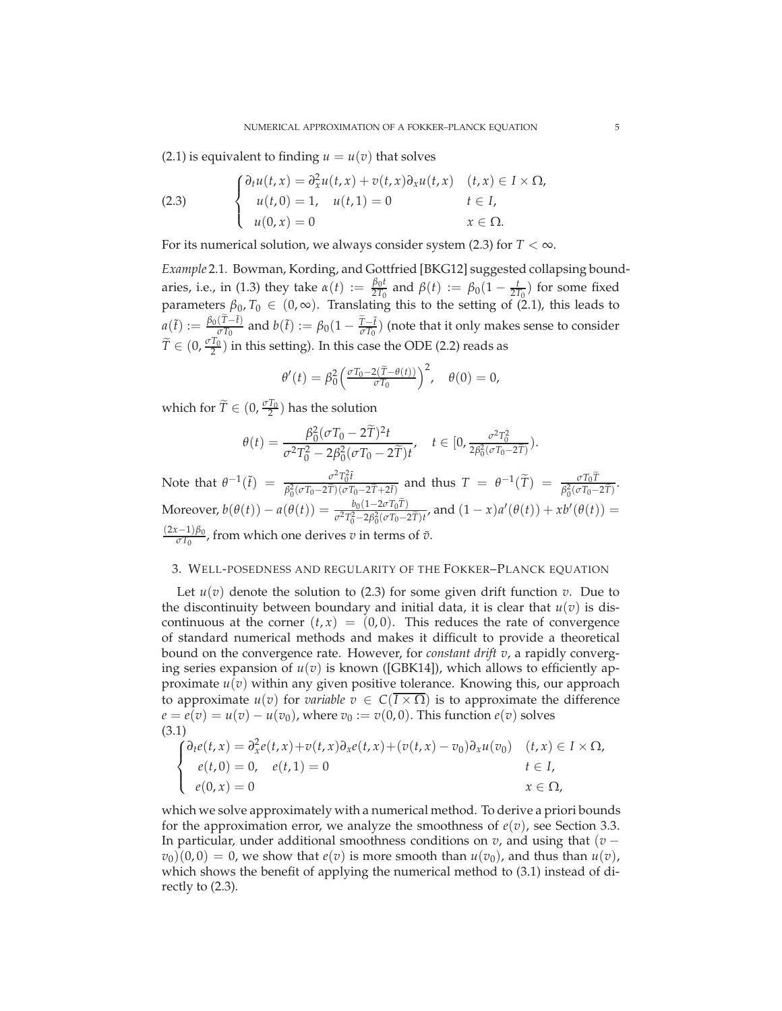$(2.1)$  is equivalent to finding  $u = u(v)$  that solves

(2.3) 
$$
\begin{cases} \partial_t u(t,x) = \partial_x^2 u(t,x) + v(t,x) \partial_x u(t,x) & (t,x) \in I \times \Omega, \\ u(t,0) = 1, & u(t,1) = 0 & t \in I, \\ u(0,x) = 0 & x \in \Omega. \end{cases}
$$

For its numerical solution, we always consider system (2.3) for  $T < \infty$ .

*Example* 2.1*.* Bowman, Kording, and Gottfried [BKG12] suggested collapsing boundaries, i.e., in (1.3) they take  $\alpha(t) := \frac{\beta_0 t}{2T_0}$  $\frac{\beta_0 t}{2T_0}$  and  $\beta(t) := \beta_0(1 - \frac{t}{2T_0})$  for some fixed parameters  $\beta_0$ ,  $T_0 \in (0,\infty)$ . Translating this to the setting of (2.1), this leads to  $a(\tilde{t}) := \frac{\beta_0(\tilde{T}-\tilde{t})}{\sigma T_0}$  and  $b(\tilde{t}) := \beta_0(1-\frac{\tilde{T}-\tilde{t}}{\sigma T_0})$  (note that it only makes sense to consider  $\widetilde{T} \in (0, \frac{\sigma T_0}{2})$  in this setting). In this case the ODE (2.2) reads as

$$
\theta'(t) = \beta_0^2 \left( \frac{\sigma T_0 - 2(\tilde{T} - \theta(t))}{\sigma T_0} \right)^2, \quad \theta(0) = 0,
$$

which for  $\widetilde{T} \in (0, \frac{\sigma T_0}{2})$  has the solution

$$
\theta(t) = \frac{\beta_0^2(\sigma T_0 - 2\tilde{T})^2 t}{\sigma^2 T_0^2 - 2\beta_0^2(\sigma T_0 - 2\tilde{T})t}, \quad t \in [0, \frac{\sigma^2 T_0^2}{2\beta_0^2(\sigma T_0 - 2\tilde{T})}).
$$

Note that  $\theta^{-1}(\tilde{t}) = \frac{\sigma^2 T_0^2 \tilde{t}}{\beta^2 (\sigma T_0 - 2\tilde{T})(\sigma T_0)}$  $\frac{\partial^2 T_0 f}{\partial \beta_0 (\partial T_0 - 2\tilde{T})(\partial T_0 - 2\tilde{T} + 2\tilde{t})}$  and thus  $T = \theta^{-1}(\tilde{T}) = \frac{\partial T_0 T}{\beta_0^2 (\partial T_0 - 2\tilde{T})}$ . Moreover,  $b(\theta(t)) - a(\theta(t)) = \frac{b_0(1 - 2\sigma T_0 T)}{\sigma^2 T_0^2 - 2\beta_0^2 (\sigma T_0 - 2\tilde{T})t}$ , and  $(1 - x)a'(\theta(t)) + xb'(\theta(t)) =$  $\frac{(2x-1)\beta_0}{\sigma T_0}$ , from which one derives *v* in terms of  $\tilde{v}$ .

### 3. WELL-POSEDNESS AND REGULARITY OF THE FOKKER–PLANCK EQUATION

Let  $u(v)$  denote the solution to (2.3) for some given drift function *v*. Due to the discontinuity between boundary and initial data, it is clear that  $u(v)$  is discontinuous at the corner  $(t, x) = (0, 0)$ . This reduces the rate of convergence of standard numerical methods and makes it difficult to provide a theoretical bound on the convergence rate. However, for *constant drift v*, a rapidly converging series expansion of  $u(v)$  is known ([GBK14]), which allows to efficiently approximate *u*(*v*) within any given positive tolerance. Knowing this, our approach to approximate  $u(v)$  for *variable*  $v \in C(I \times \Omega)$  is to approximate the difference  $e = e(v) = u(v) - u(v_0)$ , where  $v_0 := v(0, 0)$ . This function  $e(v)$  solves (3.1)

$$
\begin{cases} \partial_t e(t,x) = \partial_x^2 e(t,x) + v(t,x) \partial_x e(t,x) + (v(t,x) - v_0) \partial_x u(v_0) & (t,x) \in I \times \Omega, \\ e(t,0) = 0, & e(t,1) = 0 \\ e(0,x) = 0 & x \in \Omega, \end{cases}
$$

which we solve approximately with a numerical method. To derive a priori bounds for the approximation error, we analyze the smoothness of *e*(*v*), see Section 3.3. In particular, under additional smoothness conditions on *v*, and using that (*v* −  $v_0$ )(0,0) = 0, we show that  $e(v)$  is more smooth than  $u(v_0)$ , and thus than  $u(v)$ , which shows the benefit of applying the numerical method to (3.1) instead of directly to (2.3).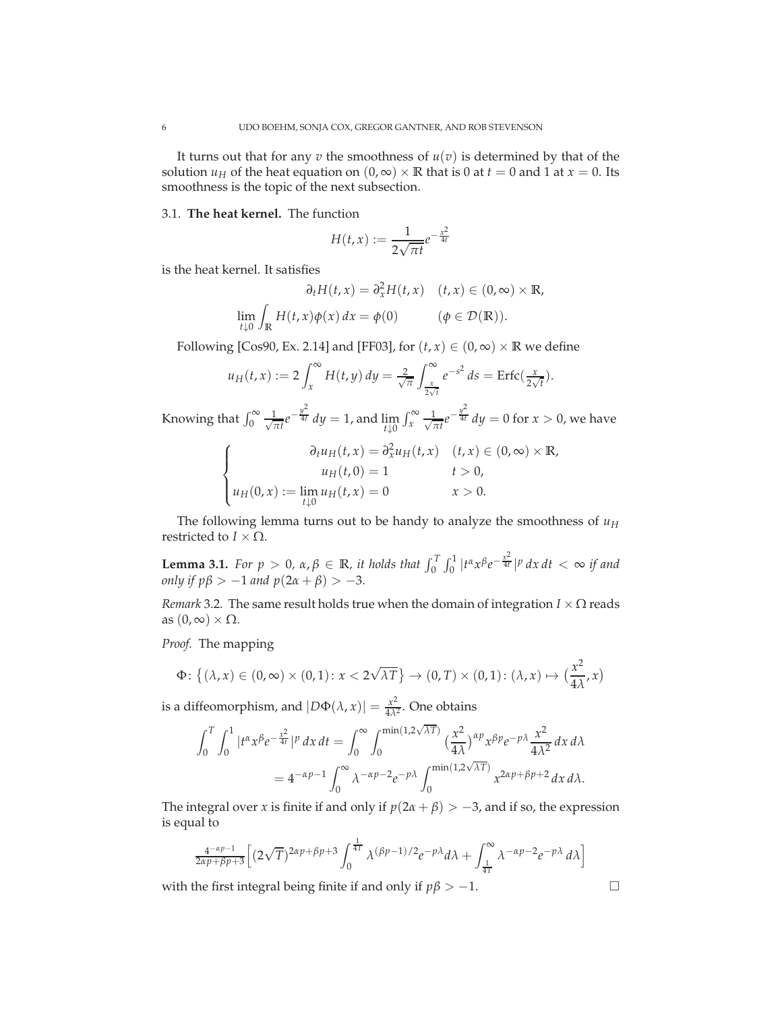It turns out that for any  $v$  the smoothness of  $u(v)$  is determined by that of the solution  $u_H$  of the heat equation on  $(0, \infty) \times \mathbb{R}$  that is 0 at  $t = 0$  and 1 at  $x = 0$ . Its smoothness is the topic of the next subsection.

## 3.1. **The heat kernel.** The function

$$
H(t,x):=\frac{1}{2\sqrt{\pi t}}e^{-\frac{x^2}{4t}}
$$

is the heat kernel. It satisfies

$$
\partial_t H(t, x) = \partial_x^2 H(t, x) \quad (t, x) \in (0, \infty) \times \mathbb{R},
$$
  

$$
\lim_{t \downarrow 0} \int_{\mathbb{R}} H(t, x) \phi(x) dx = \phi(0) \qquad (\phi \in \mathcal{D}(\mathbb{R})).
$$

Following [Cos90, Ex. 2.14] and [FF03], for  $(t, x) \in (0, \infty) \times \mathbb{R}$  we define

$$
u_H(t,x) := 2 \int_x^{\infty} H(t,y) dy = \frac{2}{\sqrt{\pi}} \int_{\frac{x}{2\sqrt{t}}}^{\infty} e^{-s^2} ds = \text{Erfc}(\frac{x}{2\sqrt{t}}).
$$

Knowing that  $\int_0^\infty \frac{1}{\sqrt{t}}$  $\frac{1}{\pi t}e^{-\frac{y^2}{4t}}$  *dy* = 1, and lim *t*↓0  $\int_{x}^{\infty} \frac{1}{\sqrt{7}}$  $\frac{1}{\pi t}e^{-\frac{y^2}{4t}}$  *dy* = 0 for  $x > 0$ , we have

$$
\begin{cases}\n\partial_t u_H(t, x) = \partial_x^2 u_H(t, x) & (t, x) \in (0, \infty) \times \mathbb{R}, \\
u_H(t, 0) = 1 & t > 0, \\
u_H(0, x) := \lim_{t \downarrow 0} u_H(t, x) = 0 & x > 0.\n\end{cases}
$$

The following lemma turns out to be handy to analyze the smoothness of *u<sup>H</sup>* restricted to  $I \times \Omega$ .

**Lemma 3.1.** *For p* > 0,  $\alpha, \beta \in \mathbb{R}$ , *it holds that*  $\int_0^T \int_0^1 |t^{\alpha} x^{\beta} e^{-\frac{x^2}{4t}}|^p dx dt < \infty$  *if and only if*  $p\beta$  >  $-1$  *and*  $p(2\alpha + \beta)$  >  $-3$ *.* 

*Remark* 3.2. The same result holds true when the domain of integration  $I \times \Omega$  reads as  $(0, \infty) \times \Omega$ .

*Proof.* The mapping

$$
\Phi\colon \left\{ (\lambda, x) \in (0, \infty) \times (0, 1) \colon x < 2\sqrt{\lambda T} \right\} \to (0, T) \times (0, 1) \colon (\lambda, x) \mapsto \left( \frac{x^2}{4\lambda}, x \right)
$$

is a diffeomorphism, and  $|D\Phi(\lambda, x)| = \frac{x^2}{4\lambda^2}$  $\frac{x^2}{4\lambda^2}$ . One obtains

$$
\int_0^T \int_0^1 |t^{\alpha} x^{\beta} e^{-\frac{x^2}{4t}}|^p dx dt = \int_0^{\infty} \int_0^{\min(1,2\sqrt{\lambda T})} \left(\frac{x^2}{4\lambda}\right)^{\alpha p} x^{\beta p} e^{-p\lambda} \frac{x^2}{4\lambda^2} dx d\lambda
$$
  
=  $4^{-\alpha p-1} \int_0^{\infty} \lambda^{-\alpha p-2} e^{-p\lambda} \int_0^{\min(1,2\sqrt{\lambda T})} x^{2\alpha p + \beta p + 2} dx d\lambda.$ 

The integral over *x* is finite if and only if  $p(2\alpha + \beta) > -3$ , and if so, the expression is equal to

$$
\frac{4^{-\alpha p-1}}{2\alpha p+\beta p+3} \Big[ (2\sqrt{T})^{2\alpha p+\beta p+3} \int_0^{\frac{1}{4T}} \lambda^{(\beta p-1)/2} e^{-p\lambda} d\lambda + \int_{\frac{1}{4T}}^{\infty} \lambda^{-\alpha p-2} e^{-p\lambda} d\lambda \Big]
$$

with the first integral being finite if and only if  $p\beta > -1$ .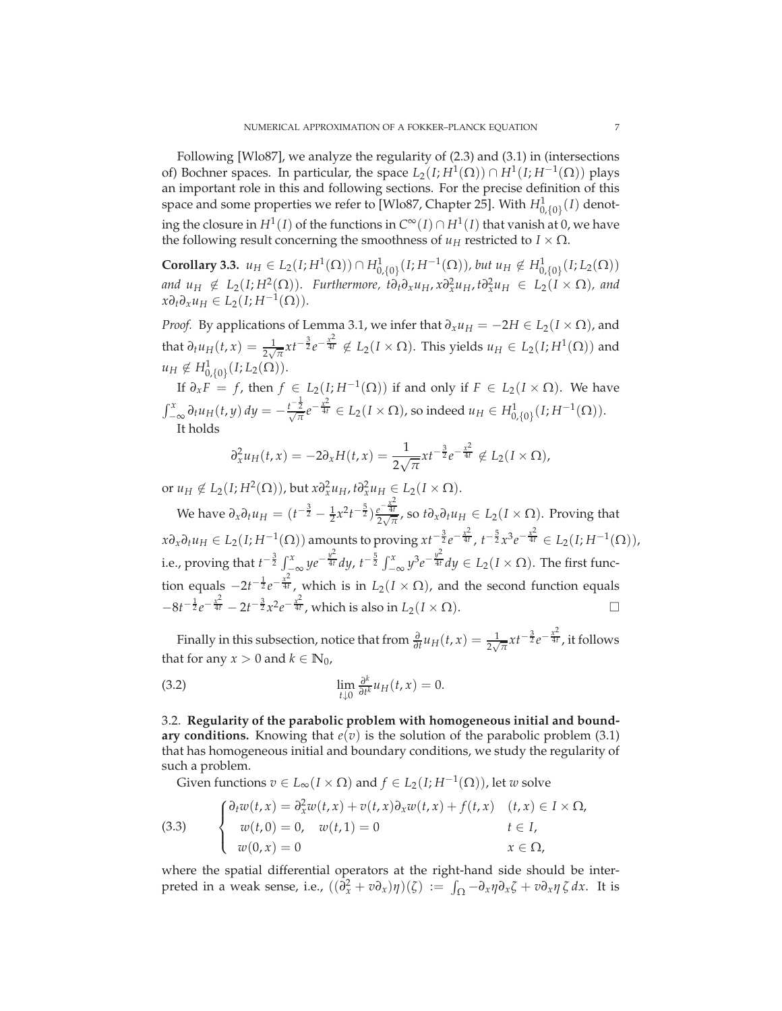Following [Wlo87], we analyze the regularity of (2.3) and (3.1) in (intersections of) Bochner spaces. In particular, the space  $L_2(I; H^1(\Omega)) \cap H^1(I; H^{-1}(\Omega))$  plays an important role in this and following sections. For the precise definition of this space and some properties we refer to [Wlo87, Chapter 25]. With  $H^1_{0,\{0\}}(I)$  denoting the closure in  $H^1(I)$  of the functions in  $C^{\infty}(I) \cap H^1(I)$  that vanish at 0, we have the following result concerning the smoothness of  $u_H$  restricted to  $I \times \Omega$ .

**Corollary 3.3.** *u*<sub>*H*</sub> ∈ *L*<sub>2</sub>(*I*; *H*<sup>1</sup>(Ω)) ∩ *H*<sub>1</sub><sub>0{0}</sub>(*I*; *H*<sup>-1</sup>(Ω)), *but u<sub>H</sub>* ∉ *H*<sub>1</sub><sub>0{0}</sub>(*I*; *L*<sub>2</sub>(Ω)) and  $u_H \notin L_2(I; H^2(\Omega))$ . Furthermore,  $t \partial_t \partial_x u_H$ ,  $x \partial_x^2 u_H$ ,  $t \partial_x^2 u_H \in L_2(I \times \Omega)$ , and  $x\partial_t\partial_x u_H \in L_2(I; H^{-1}(\Omega)).$ 

*Proof.* By applications of Lemma 3.1, we infer that  $\partial_x u_H = -2H \in L_2(I \times \Omega)$ , and that  $\partial_t u_H(t,x) = \frac{1}{2\sqrt{\pi}} x t^{-\frac{3}{2}} e^{-\frac{x^2}{4t}} \notin L_2(I \times \Omega)$ . This yields  $u_H \in L_2(I; H^1(\Omega))$  and  $u_H \notin H^1_{0,\{0\}}(I; L_2(\Omega)).$ 0,{0}

If *<sup>∂</sup>x<sup>F</sup>* <sup>=</sup> *<sup>f</sup>* , then *<sup>f</sup>* <sup>∈</sup> *<sup>L</sup>*2(*I*; *<sup>H</sup>*−<sup>1</sup> (Ω)) if and only if *<sup>F</sup>* ∈ *<sup>L</sup>*2(*<sup>I</sup>* × <sup>Ω</sup>). We have  $\int_{-\infty}^{x} \partial_t u_H(t,y) dy = -\frac{t^{-\frac{1}{2}}}{\sqrt{\pi}} e^{-\frac{x^2}{4t}} \in L_2(I \times \Omega)$ , so indeed  $u_H \in H^1_{0,\{0\}}(I; H^{-1}(\Omega)).$ It holds

$$
\partial_x^2 u_H(t,x) = -2\partial_x H(t,x) = \frac{1}{2\sqrt{\pi}} x t^{-\frac{3}{2}} e^{-\frac{x^2}{4t}} \notin L_2(I \times \Omega),
$$

or  $u_H \notin L_2(I; H^2(\Omega))$ , but  $x \partial_x^2 u_H$ ,  $t \partial_x^2 u_H \in L_2(I \times \Omega)$ .

We have  $\partial_x \partial_t u_H = (t^{-\frac{3}{2}} - \frac{1}{2}x^2t^{-\frac{5}{2}})\frac{e^{-\frac{x^2}{4t}}}{2\sqrt{\pi}}$  $\frac{e^{-4t}}{2\sqrt{\pi}}$ , so *t∂*<sub>*x*</sub>∂*tu*<sub>*H*</sub> ∈ *L*<sub>2</sub>(*I* × Ω). Proving that  $x\partial_x\partial_t u_H \in L_2(I; H^{-1}(\Omega))$  amounts to proving  $xt^{-\frac{3}{2}}e^{-\frac{x^2}{4t}}$ ,  $t^{-\frac{5}{2}}x^3e^{-\frac{x^2}{4t}} \in L_2(I; H^{-1}(\Omega)),$ i.e., proving that  $t^{-\frac{3}{2}} \int_{-\infty}^{x} y e^{-\frac{y^2}{4t}} dy$ ,  $t^{-\frac{5}{2}} \int_{-\infty}^{x} y^3 e^{-\frac{y^2}{4t}} dy \in L_2(I \times \Omega)$ . The first function equals  $-2t^{-\frac{1}{2}}e^{-\frac{x^2}{4t}}$ , which is in  $L_2(I \times \Omega)$ , and the second function equals  $-8t^{-\frac{1}{2}}e^{-\frac{x^2}{4t}} - 2t^{-\frac{3}{2}}x^2e^{-\frac{x^2}{4t}}$ , which is also in *L*<sub>2</sub>(*I* × Ω). □

Finally in this subsection, notice that from  $\frac{\partial}{\partial t}u_H(t,x) = \frac{1}{2\sqrt{\pi}}xt^{-\frac{3}{2}}e^{-\frac{x^2}{4t}}$ , it follows that for any  $x > 0$  and  $k \in \mathbb{N}_0$ ,

(3.2) 
$$
\lim_{t \downarrow 0} \frac{\partial^k}{\partial t^k} u_H(t, x) = 0.
$$

3.2. **Regularity of the parabolic problem with homogeneous initial and boundary conditions.** Knowing that  $e(v)$  is the solution of the parabolic problem (3.1) that has homogeneous initial and boundary conditions, we study the regularity of such a problem.

Given functions  $v \in L_{\infty}(I \times \Omega)$  and  $f \in L_2(I; H^{-1}(\Omega))$ , let  $w$  solve

(3.3) 
$$
\begin{cases} \partial_t w(t,x) = \partial_x^2 w(t,x) + v(t,x) \partial_x w(t,x) + f(t,x) & (t,x) \in I \times \Omega, \\ w(t,0) = 0, & w(t,1) = 0 & t \in I, \\ w(0,x) = 0 & x \in \Omega, \end{cases}
$$

where the spatial differential operators at the right-hand side should be interpreted in a weak sense, i.e.,  $((\partial_x^2 + v \partial_x)\eta)(\zeta) := \int_{\Omega} -\partial_x \eta \partial_x \zeta + v \partial_x \eta \zeta dx$ . It is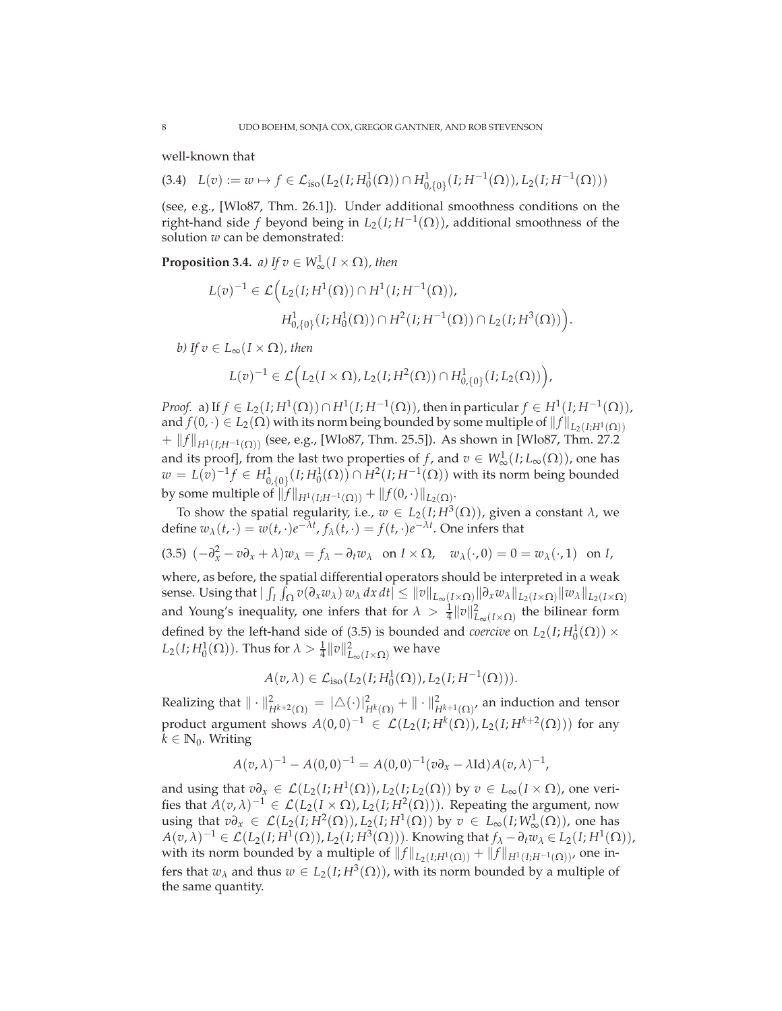well-known that

(3.4)  $L(v) := w \mapsto f \in \mathcal{L}_{iso}(L_2(I; H_0^1(\Omega)) \cap H_{0,\{0\}}^1(I; H^{-1}(\Omega)), L_2(I; H^{-1}(\Omega)))$ 

(see, e.g., [Wlo87, Thm. 26.1]). Under additional smoothness conditions on the right-hand side *f* beyond being in  $L_2(I; H^{-1}(\Omega))$ , additional smoothness of the solution *w* can be demonstrated:

**Proposition 3.4.** *a)* If  $v \in W^1_\infty(I \times \Omega)$ , then

$$
L(v)^{-1} \in \mathcal{L}\Big(L_2(I;H^1(\Omega)) \cap H^1(I;H^{-1}(\Omega)),
$$
  

$$
H^1_{0,\{0\}}(I;H^1_0(\Omega)) \cap H^2(I;H^{-1}(\Omega)) \cap L_2(I;H^3(\Omega))\Big).
$$

*b)* If  $v \in L_{\infty}(I \times \Omega)$ *, then* 

$$
L(v)^{-1} \in \mathcal{L}\Big(L_2(I \times \Omega), L_2(I; H^2(\Omega)) \cap H^1_{0,\{0\}}(I; L_2(\Omega))\Big),\,
$$

*Proof.* a) If  $f \in L_2(I; H^1(\Omega)) \cap H^1(I; H^{-1}(\Omega))$ , then in particular  $f \in H^1(I; H^{-1}(\Omega))$ , and  $f(0, \cdot) \in L_2(\Omega)$  with its norm being bounded by some multiple of  $||f||_{L_2(I;H^1(\Omega))}$ +  $||f||_{H^1(I;H^{-1}(\Omega))}$  (see, e.g., [Wlo87, Thm. 25.5]). As shown in [Wlo87, Thm. 27.2] and its proof], from the last two properties of *f*, and  $v \in W^1_{\infty}(I; L_{\infty}(\Omega))$ , one has *w* = *L*(*v*)<sup>-1</sup>*f* ∈ *H*<sup>1</sup><sub>0</sub>,{0}</sub>(*I*; *H*<sup>1</sup><sub></sub><sup>1</sup>(Ω)) ∩ *H*<sup>2</sup>(*I*; *H*<sup>-1</sup>(Ω)) with its norm being bounded by some multiple of  $||f||_{H^1(I;H^{-1}(\Omega))} + ||f(0, \cdot)||_{L_2(\Omega)}$ .

To show the spatial regularity, i.e., *<sup>w</sup>* <sup>∈</sup> *<sup>L</sup>*2(*I*; *<sup>H</sup>*<sup>3</sup> (Ω)), given a constant *λ*, we define  $w_{\lambda}(t, \cdot) = w(t, \cdot)e^{-\lambda t}$ ,  $f_{\lambda}(t, \cdot) = f(t, \cdot)e^{-\lambda t}$ . One infers that

$$
(3.5) \ \left(-\partial_x^2 - v \partial_x + \lambda\right) w_\lambda = f_\lambda - \partial_t w_\lambda \quad \text{on } I \times \Omega, \quad w_\lambda(\cdot, 0) = 0 = w_\lambda(\cdot, 1) \quad \text{on } I,
$$

where, as before, the spatial differential operators should be interpreted in a weak sense. Using that  $|\int_I \int_{\Omega} v(\partial_x w_\lambda) w_\lambda dx dt| \leq ||v||_{L_\infty(I\times\Omega)} ||\partial_x w_\lambda||_{L_2(I\times\Omega)} ||w_\lambda||_{L_2(I\times\Omega)}$ and Young's inequality, one infers that for  $\lambda > \frac{1}{4} ||v||^2_{L_{\infty}(I \times \Omega)}$  the bilinear form defined by the left-hand side of (3.5) is bounded and *coercive* on  $L_2(I; H_0^1(\Omega)) \times$  $L_2(I; H_0^1(\Omega))$ . Thus for  $\lambda > \frac{1}{4} ||v||^2_{L_{\infty}(I \times \Omega)}$  we have

 $A(v, \lambda) \in \mathcal{L}_{iso}(L_2(I; H_0^1(\Omega)), L_2(I; H^{-1}(\Omega))).$ 

Realizing that  $\|\cdot\|_{H^{k+2}(\Omega)}^2 = |\triangle(\cdot)|_{H^k(\Omega)}^2 + \|\cdot\|_{H^{k+1}(\Omega)}^2$ , an induction and tensor product argument shows  $A(0,0)^{-1} \in \mathcal{L}(L_2(I;H^k(\Omega)), L_2(I;H^{k+2}(\Omega)))$  for any  $k \in \mathbb{N}_0$ . Writing

$$
A(v,\lambda)^{-1} - A(0,0)^{-1} = A(0,0)^{-1}(v\partial_x - \lambda \mathrm{Id})A(v,\lambda)^{-1},
$$

and using that  $v\partial_x \in \mathcal{L}(L_2(I; H^1(\Omega)), L_2(I; L_2(\Omega))$  by  $v \in L_\infty(I \times \Omega)$ , one verifies that  $A(v, \lambda)^{-1} \in \mathcal{L}(L_2(I \times \Omega), L_2(I; H^2(\Omega)))$ . Repeating the argument, now using that  $v \partial_x \in \mathcal{L}(L_2(I; H^2(\Omega)), L_2(I; H^1(\Omega))$  by  $v \in L_\infty(I; W^1_\infty(\Omega))$ , one has  $A(v, \lambda)^{-1} \in \mathcal{L}(L_2(I; H^1(\Omega)), L_2(I; H^3(\Omega)))$ . Knowing that  $f_{\lambda} - \partial_t w_{\lambda} \in L_2(I; H^1(\Omega)),$ with its norm bounded by a multiple of  $||f||_{L_2(I;H^1(\Omega))} + ||f||_{H^1(I;H^{-1}(\Omega))}$ , one infers that  $w_{\lambda}$  and thus  $w \in L_2(I; H^3(\Omega))$ , with its norm bounded by a multiple of the same quantity.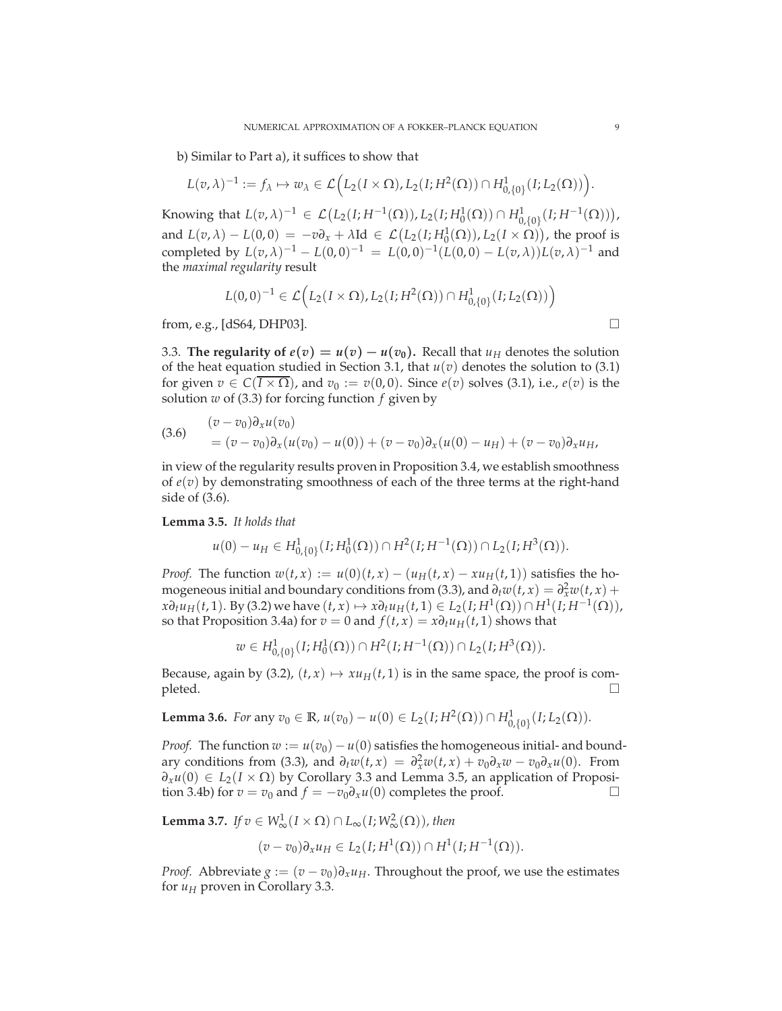b) Similar to Part a), it suffices to show that

$$
L(v,\lambda)^{-1} := f_{\lambda} \mapsto w_{\lambda} \in \mathcal{L}\Big(L_2(I \times \Omega), L_2(I;H^2(\Omega)) \cap H^1_{0,\{0\}}(I;L_2(\Omega))\Big).
$$

Knowing that  $L(v, \lambda)^{-1} \in \mathcal{L}(L_2(I; H^{-1}(\Omega)), L_2(I; H_0^1(\Omega)) \cap H_{0,\{0\}}^1(I; H^{-1}(\Omega))),$ and  $L(v, \lambda) - L(0, 0) = -v \partial_x + \lambda \text{Id} \in \mathcal{L}(L_2(I; H_0^1(\Omega)), L_2(I \times \Omega))$ , the proof is completed by  $L(v, \lambda)^{-1} - L(0, 0)^{-1} = L(0, 0)^{-1}(L(0, 0) - L(v, \lambda))L(v, \lambda)^{-1}$  and the *maximal regularity* result

$$
L(0,0)^{-1} \in \mathcal{L}\Big(L_2(I \times \Omega), L_2(I;H^2(\Omega)) \cap H^1_{0,\{0\}}(I;L_2(\Omega))\Big)
$$

from, e.g., [dS64, DHP03].

3.3. **The regularity of**  $e(v) = u(v) - u(v_0)$ . Recall that  $u_H$  denotes the solution of the heat equation studied in Section 3.1, that  $u(v)$  denotes the solution to (3.1) for given  $v \in C(I \times \Omega)$ , and  $v_0 := v(0,0)$ . Since  $e(v)$  solves (3.1), i.e.,  $e(v)$  is the solution *w* of (3.3) for forcing function *f* given by

(3.6) 
$$
\begin{aligned} (v - v_0) \partial_x u(v_0) \\ &= (v - v_0) \partial_x (u(v_0) - u(0)) + (v - v_0) \partial_x (u(0) - u_H) + (v - v_0) \partial_x u_H, \end{aligned}
$$

in view of the regularity results proven in Proposition 3.4, we establish smoothness of *e*(*v*) by demonstrating smoothness of each of the three terms at the right-hand side of (3.6).

**Lemma 3.5.** *It holds that*

$$
u(0) - u_H \in H^1_{0,\{0\}}(I; H^1_0(\Omega)) \cap H^2(I; H^{-1}(\Omega)) \cap L_2(I; H^3(\Omega)).
$$

*Proof.* The function  $w(t, x) := u(0)(t, x) - (u_H(t, x) - xu_H(t, 1))$  satisfies the homogeneous initial and boundary conditions from (3.3), and  $\partial_t w(t, x) = \partial_x^2 w(t, x) +$  $x\partial_t u_H(t,1)$ . By (3.2) we have  $(t,x) \mapsto x\partial_t u_H(t,1) \in L_2(I;H^1(\Omega)) \cap H^1(I;H^{-1}(\Omega)),$ so that Proposition 3.4a) for  $v = 0$  and  $f(t, x) = x\partial_t u_H(t, 1)$  shows that

 $w \in H^1_{0,\{0\}}(I; H^1_0(\Omega)) \cap H^2(I; H^{-1}(\Omega)) \cap L_2(I; H^3(\Omega)).$ 

Because, again by (3.2),  $(t, x) \mapsto xu_H(t, 1)$  is in the same space, the proof is completed.  $\Box$ 

**Lemma 3.6.** For any 
$$
v_0 \in \mathbb{R}
$$
,  $u(v_0) - u(0) \in L_2(I; H^2(\Omega)) \cap H^1_{0,\{0\}}(I; L_2(\Omega))$ .

*Proof.* The function  $w := u(v_0) - u(0)$  satisfies the homogeneous initial- and boundary conditions from (3.3), and  $\partial_t w(t, x) = \partial_x^2 w(t, x) + v_0 \partial_x w - v_0 \partial_x u(0)$ . From  $∂$ <sub>*x*</sub>*u*(0) ∈ *L*<sub>2</sub>(*I* ×  $Ω$ ) by Corollary 3.3 and Lemma 3.5, an application of Proposition 3.4b) for  $v = v_0$  and  $f = -v_0 ∂_2 u(0)$  completes the proof. tion 3.4b) for  $v = v_0$  and  $f = -v_0 \partial_x u(0)$  completes the proof.

**Lemma 3.7.** *If*  $v \in W^1_{\infty}(I \times \Omega) \cap L_{\infty}(I; W^2_{\infty}(\Omega))$ , then

$$
(v-v_0)\partial_x u_H \in L_2(I; H^1(\Omega)) \cap H^1(I; H^{-1}(\Omega)).
$$

*Proof.* Abbreviate  $g := (v - v_0) \partial_x u_H$ . Throughout the proof, we use the estimates for  $u_H$  proven in Corollary 3.3.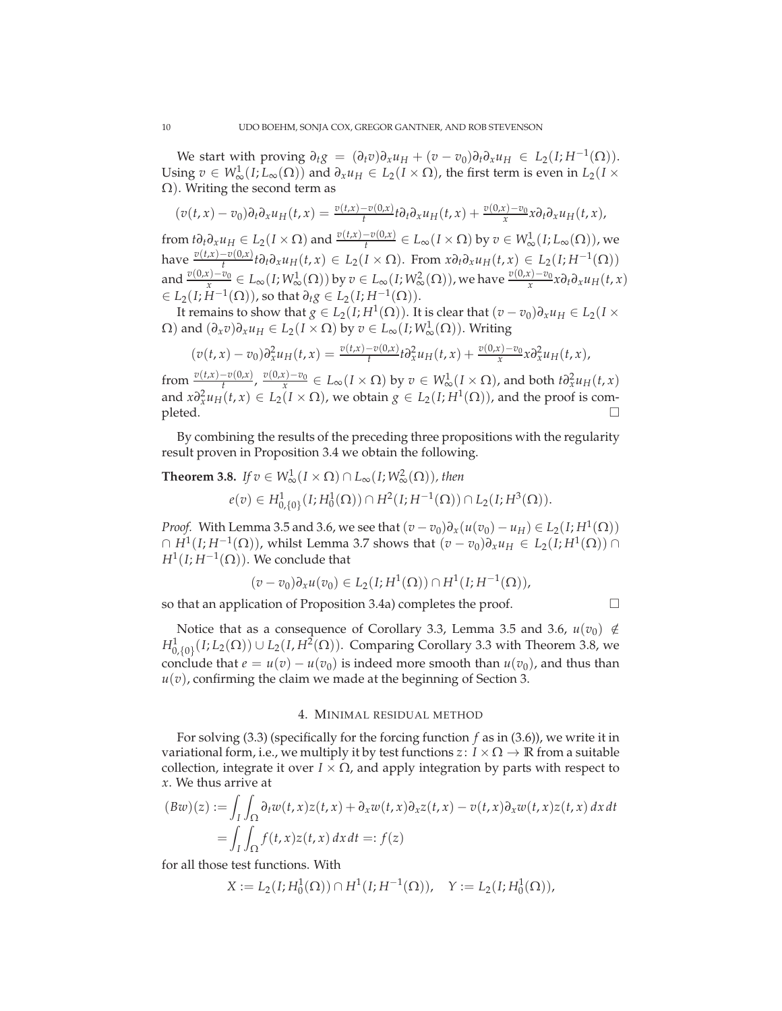We start with proving  $\partial_t g = (\partial_t v) \partial_x u_H + (v - v_0) \partial_t \partial_x u_H \in L_2(I; H^{-1}(\Omega)).$ Using  $v \in W^1_{\infty}(I; L_{\infty}(\Omega))$  and  $\partial_x u_H \in L_2(I \times \Omega)$ , the first term is even in  $L_2(I \times$ Ω). Writing the second term as

$$
(v(t,x)-v_0)\partial_t\partial_x u_H(t,x)=\frac{v(t,x)-v(0,x)}{t}t\partial_t\partial_x u_H(t,x)+\frac{v(0,x)-v_0}{x}x\partial_t\partial_x u_H(t,x),
$$

from  $t\partial_t\partial_x u_H \in L_2(I \times \Omega)$  and  $\frac{v(t,x)-v(0,x)}{t} \in L_\infty(I \times \Omega)$  by  $v \in W^1_\infty(I;L_\infty(\Omega))$ , we have  $\frac{v(t,x)-v(0,x)}{t}$  t $\partial_t \partial_x u_H(t,x) \in L_2(I \times \Omega)$ . From  $x \partial_t \partial_x u_H(t,x) \in L_2(I; H^{-1}(\Omega))$ and  $\frac{v(0,x)-v_0}{x} \in L_\infty(I;W^1_\infty(\Omega))$  by  $v \in L_\infty(I;W^2_\infty(\Omega))$ , we have  $\frac{v(0,x)-v_0}{x}x \partial_t \partial_x u_H(t,x)$  $∈ L_2(I; H^{-1}(\Omega))$ , so that  $∂_tg ∈ L_2(I; H^{-1}(\Omega))$ .

It remains to show that  $g \in L_2(I; H^1(\Omega))$ . It is clear that  $(v - v_0)\partial_x u_H \in L_2(I \times I)$  $Ω$ ) and  $(∂<sub>x</sub>v)∂<sub>x</sub>u<sub>H</sub> ∈ L<sub>2</sub>(I × Ω)$  by  $v ∈ L<sub>∞</sub>(I; W<sup>1</sup><sub>∞</sub>(Ω)).$  Writing

$$
(v(t,x)-v_0)\partial_x^2 u_H(t,x) = \frac{v(t,x)-v(0,x)}{t} \partial_x^2 u_H(t,x) + \frac{v(0,x)-v_0}{x} \partial_x^2 u_H(t,x),
$$

from  $\frac{v(t,x)-v(0,x)}{t}$ ,  $\frac{v(0,x)-v_0}{x} \in L_\infty(I \times \Omega)$  by  $v \in W^1_\infty(I \times \Omega)$ , and both  $t\partial_x^2 u_H(t,x)$ and  $x \partial_x^2 u_H(t, x) \in L_2(I \times \Omega)$ , we obtain  $g \in L_2(I; H^1(\Omega))$ , and the proof is com- $\Box$ 

By combining the results of the preceding three propositions with the regularity result proven in Proposition 3.4 we obtain the following.

**Theorem 3.8.** *If*  $v \in W^1_\infty(I \times \Omega) \cap L_\infty(I; W^2_\infty(\Omega))$ , then

 $e(v) \in H^1_{0,\{0\}}(I; H^1_0(\Omega)) \cap H^2(I; H^{-1}(\Omega)) \cap L_2(I; H^3(\Omega)).$ 

*Proof.* With Lemma 3.5 and 3.6, we see that  $(v - v_0)\partial_x(u(v_0) - u_H) \in L_2(I; H^1(\Omega))$  $∩ H<sup>1</sup>(I; H<sup>-1</sup>(Ω)),$  whilst Lemma 3.7 shows that  $(v - v<sub>0</sub>)\partial_x u_H ∈ L_2(I; H<sup>1</sup>(Ω)) ∩ L_1$  $H^1(I; H^{-1}(\Omega)) .$  We conclude that

$$
(v-v_0)\partial_x u(v_0) \in L_2(I;H^1(\Omega)) \cap H^1(I;H^{-1}(\Omega)),
$$

so that an application of Proposition 3.4a) completes the proof.

Notice that as a consequence of Corollary 3.3, Lemma 3.5 and 3.6,  $u(v_0) \notin$  $H^1_{0,\{0\}}(I; L_2(Ω)) \cup L_2(I, H^2(Ω))$ . Comparing Corollary 3.3 with Theorem 3.8, we conclude that  $e = u(v) - u(v_0)$  is indeed more smooth than  $u(v_0)$ , and thus than  $u(v)$ , confirming the claim we made at the beginning of Section 3.

## 4. MINIMAL RESIDUAL METHOD

For solving (3.3) (specifically for the forcing function *f* as in (3.6)), we write it in variational form, i.e., we multiply it by test functions  $z: I \times \Omega \rightarrow \mathbb{R}$  from a suitable collection, integrate it over  $I \times \Omega$ , and apply integration by parts with respect to *x*. We thus arrive at

$$
(Bw)(z) := \int_I \int_{\Omega} \partial_t w(t, x) z(t, x) + \partial_x w(t, x) \partial_x z(t, x) - v(t, x) \partial_x w(t, x) z(t, x) dx dt
$$
  
= 
$$
\int_I \int_{\Omega} f(t, x) z(t, x) dx dt =: f(z)
$$

for all those test functions. With

$$
X := L_2(I; H_0^1(\Omega)) \cap H^1(I; H^{-1}(\Omega)), \quad Y := L_2(I; H_0^1(\Omega)),
$$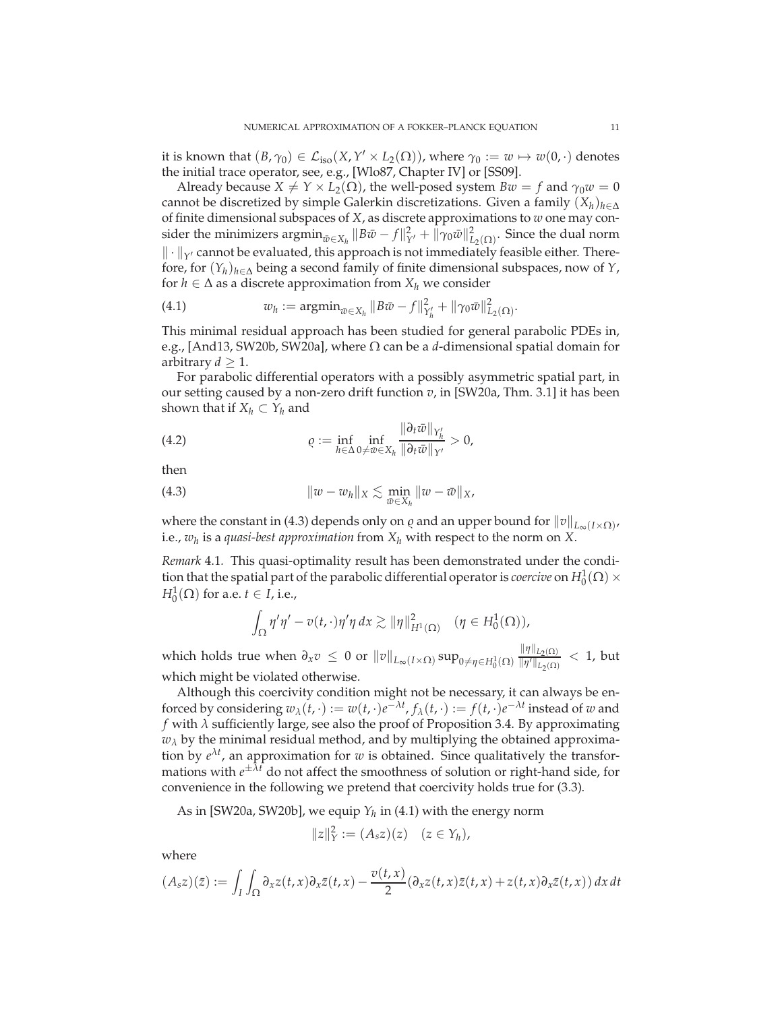it is known that  $(B, \gamma_0) \in \mathcal{L}_{iso}(X, Y' \times L_2(\Omega))$ , where  $\gamma_0 := w \mapsto w(0, \cdot)$  denotes the initial trace operator, see, e.g., [Wlo87, Chapter IV] or [SS09].

Already because  $X \neq Y \times L_2(\Omega)$ , the well-posed system  $Bw = f$  and  $\gamma_0 w = 0$ cannot be discretized by simple Galerkin discretizations. Given a family  $(X_h)_{h \in \Delta}$ of finite dimensional subspaces of *X*, as discrete approximations to *w* one may consider the minimizers  $\operatorname{argmin}_{\bar{w}\in X_h} \|B\bar{w}-f\|^2_{Y'} + \|\gamma_0 \bar{w}\|^2_{L_2(\Omega)}$ . Since the dual norm  $\|\cdot\|_{Y'}$  cannot be evaluated, this approach is not immediately feasible either. Therefore, for (*Y<sup>h</sup>* )*h*∈<sup>∆</sup> being a second family of finite dimensional subspaces, now of *<sup>Y</sup>*, for  $h \in \Delta$  as a discrete approximation from  $X_h$  we consider

(4.1) 
$$
w_h := \operatorname{argmin}_{\bar{w} \in X_h} \| B\bar{w} - f \|_{Y'_h}^2 + \| \gamma_0 \bar{w} \|_{L_2(\Omega)}^2.
$$

This minimal residual approach has been studied for general parabolic PDEs in, e.g., [And13, SW20b, SW20a], where Ω can be a *d*-dimensional spatial domain for arbitrary  $d \geq 1$ .

For parabolic differential operators with a possibly asymmetric spatial part, in our setting caused by a non-zero drift function *v*, in [SW20a, Thm. 3.1] it has been shown that if  $X_h \subset Y_h$  and

(4.2) 
$$
\varrho := \inf_{h \in \Delta} \inf_{0 \neq \bar{w} \in X_h} \frac{\|\partial_t \bar{w}\|_{Y'_h}}{\|\partial_t \bar{w}\|_{Y'}} > 0,
$$

then

(4.3) 
$$
\|w - w_h\|_X \lesssim \min_{\bar{w} \in X_h} \|w - \bar{w}\|_X,
$$

where the constant in (4.3) depends only on  $\varrho$  and an upper bound for  $\|\nu\|_{L_{\infty}(I\times\Omega)}$ , i.e., *w<sup>h</sup>* is a *quasi-best approximation* from *X<sup>h</sup>* with respect to the norm on *X*.

*Remark* 4.1*.* This quasi-optimality result has been demonstrated under the condition that the spatial part of the parabolic differential operator is *coercive* on  $H_0^1(\Omega) \times$  $H_0^1(\Omega)$  for a.e.  $t \in I$ , i.e.,

$$
\int_{\Omega} \eta' \eta' - v(t, \cdot) \eta' \eta \, dx \gtrsim ||\eta||_{H^1(\Omega)}^2 \quad (\eta \in H_0^1(\Omega)),
$$

which holds true when  $\partial_x v \leq 0$  or  $||v||_{L_\infty(I \times \Omega)} \sup_{0 \neq \eta \in H_0^1(\Omega)} \frac{||\eta||_{L_2(\Omega)}}{||\eta'||_{L_2(\Omega)}}$  $\frac{\| \eta \|_{L_2(\Omega)}}{\| \eta' \|_{L_2(\Omega)}} < 1$ , but which might be violated otherwise.

Although this coercivity condition might not be necessary, it can always be enforced by considering  $w_{\lambda}(t, \cdot) := w(t, \cdot)e^{-\lambda t}, f_{\lambda}(t, \cdot) := f(t, \cdot)e^{-\lambda t}$  instead of *w* and *f* with *λ* sufficiently large, see also the proof of Proposition 3.4. By approximating  $w_{\lambda}$  by the minimal residual method, and by multiplying the obtained approximation by  $e^{\lambda t}$ , an approximation for *w* is obtained. Since qualitatively the transformations with *e* <sup>±</sup>*λ<sup>t</sup>* do not affect the smoothness of solution or right-hand side, for convenience in the following we pretend that coercivity holds true for (3.3).

As in [SW20a, SW20b], we equip *Y<sup>h</sup>* in (4.1) with the energy norm

$$
||z||_Y^2 := (A_s z)(z) \quad (z \in Y_h),
$$

where

$$
(A_s z)(\bar{z}) := \int_I \int_{\Omega} \partial_x z(t, x) \partial_x \bar{z}(t, x) - \frac{v(t, x)}{2} (\partial_x z(t, x) \bar{z}(t, x) + z(t, x) \partial_x \bar{z}(t, x)) dx dt
$$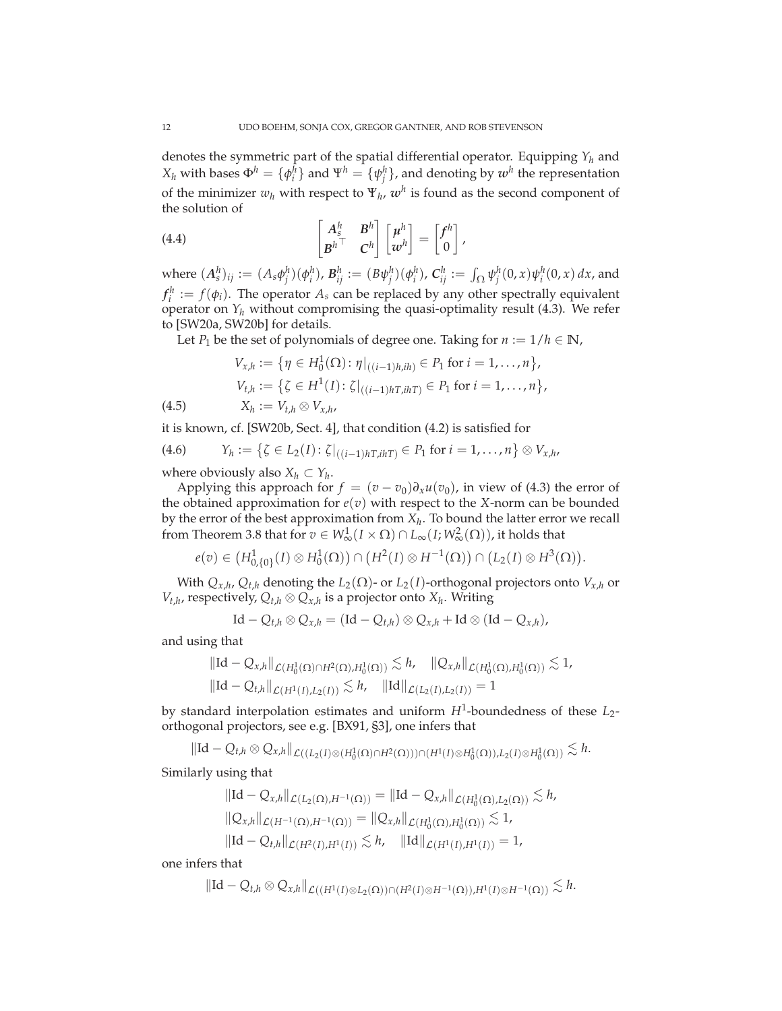denotes the symmetric part of the spatial differential operator. Equipping  $Y_h$  and  $X_h$  with bases  $\Phi^h = \{\phi^h_i\}$  and  $\Psi^h = \{\psi^h_j\}$ , and denoting by  $w^h$  the representation of the minimizer  $w_h$  with respect to  $\Psi_h$ ,  $w^h$  is found as the second component of the solution of

(4.4) 
$$
\begin{bmatrix} A_s^h & B^h \ B^{h\top} & C^h \end{bmatrix} \begin{bmatrix} \mu^h \ w^h \end{bmatrix} = \begin{bmatrix} f^h \ 0 \end{bmatrix},
$$

where  $(A_s^h)_{ij}:=(A_s\phi_j^h)(\phi_i^h)$ ,  $\mathcal{B}_{ij}^h:=(B\psi_j^h)(\phi_i^h)$ ,  $\mathcal{C}_{ij}^h:=\int_{\Omega}\psi_j^h(0,x)\psi_i^h(0,x)\,dx$ , and  $f_i^h := f(\phi_i)$ . The operator  $A_s$  can be replaced by any other spectrally equivalent operator on  $Y_h$  without compromising the quasi-optimality result (4.3). We refer to [SW20a, SW20b] for details.

Let *P*<sub>1</sub> be the set of polynomials of degree one. Taking for  $n := 1/h \in \mathbb{N}$ ,

$$
V_{x,h} := \{ \eta \in H_0^1(\Omega) : \eta|_{((i-1)h,ih)} \in P_1 \text{ for } i = 1,\ldots,n \},
$$
  
\n
$$
V_{t,h} := \{ \zeta \in H^1(I) : \zeta|_{((i-1)hT,ihT)} \in P_1 \text{ for } i = 1,\ldots,n \},
$$
  
\n(4.5) 
$$
X_h := V_{t,h} \otimes V_{x,h},
$$

it is known, cf. [SW20b, Sect. 4], that condition (4.2) is satisfied for

(4.6) 
$$
Y_h := \{ \zeta \in L_2(I) : \zeta|_{((i-1)hT, ihT)} \in P_1 \text{ for } i = 1, ..., n \} \otimes V_{x, hv}
$$

where obviously also  $X_h \subset Y_h$ .

Applying this approach for  $f = (v - v_0) \partial_x u(v_0)$ , in view of (4.3) the error of the obtained approximation for  $e(v)$  with respect to the *X*-norm can be bounded by the error of the best approximation from *X<sup>h</sup>* . To bound the latter error we recall from Theorem 3.8 that for  $v \in W^1_\infty(I \times \Omega) \cap L_\infty(I; W^2_\infty(\Omega))$ , it holds that

$$
e(v) \in (H^1_{0,\{0\}}(I) \otimes H^1_0(\Omega)) \cap (H^2(I) \otimes H^{-1}(\Omega)) \cap (L_2(I) \otimes H^3(\Omega)).
$$

With  $Q_{x,h}$ ,  $Q_{t,h}$  denoting the  $L_2(\Omega)$ - or  $L_2(I)$ -orthogonal projectors onto  $V_{x,h}$  or  $V_{t,h}$ , respectively,  $Q_{t,h} \otimes Q_{x,h}$  is a projector onto  $X_h$ . Writing

$$
Id - Q_{t,h} \otimes Q_{x,h} = (Id - Q_{t,h}) \otimes Q_{x,h} + Id \otimes (Id - Q_{x,h}),
$$

and using that

$$
\|\mathrm{Id} - Q_{x,h}\|_{\mathcal{L}(H_0^1(\Omega) \cap H^2(\Omega), H_0^1(\Omega))} \lesssim h, \quad \|Q_{x,h}\|_{\mathcal{L}(H_0^1(\Omega), H_0^1(\Omega))} \lesssim 1,
$$
  

$$
\|\mathrm{Id} - Q_{t,h}\|_{\mathcal{L}(H^1(I), L_2(I))} \lesssim h, \quad \|\mathrm{Id}\|_{\mathcal{L}(L_2(I), L_2(I))} = 1
$$

by standard interpolation estimates and uniform *H*<sup>1</sup> -boundedness of these *L*2 orthogonal projectors, see e.g. [BX91, §3], one infers that

$$
\|\mathrm{Id}-Q_{t,h}\otimes Q_{x,h}\|_{\mathcal{L}((L_2(I)\otimes (H_0^1(\Omega)\cap H^2(\Omega)))\cap (H^1(I)\otimes H_0^1(\Omega)),L_2(I)\otimes H_0^1(\Omega))}\lesssim h.
$$

Similarly using that

$$
\begin{aligned}\n||\mathrm{Id} - Q_{x,h}||_{\mathcal{L}(L_2(\Omega), H^{-1}(\Omega))} &= ||\mathrm{Id} - Q_{x,h}||_{\mathcal{L}(H_0^1(\Omega), L_2(\Omega))} \lesssim h, \\
||Q_{x,h}||_{\mathcal{L}(H^{-1}(\Omega), H^{-1}(\Omega))} &= ||Q_{x,h}||_{\mathcal{L}(H_0^1(\Omega), H_0^1(\Omega))} \lesssim 1, \\
||\mathrm{Id} - Q_{t,h}||_{\mathcal{L}(H^2(I), H^1(I))} &\lesssim h, \quad ||\mathrm{Id}||_{\mathcal{L}(H^1(I), H^1(I))} = 1,\n\end{aligned}
$$

one infers that

$$
\|\mathrm{Id}-Q_{t,h}\otimes Q_{x,h}\|_{\mathcal{L}((H^1(I)\otimes L_2(\Omega))\cap (H^2(I)\otimes H^{-1}(\Omega)),H^1(I)\otimes H^{-1}(\Omega))}\lesssim h.
$$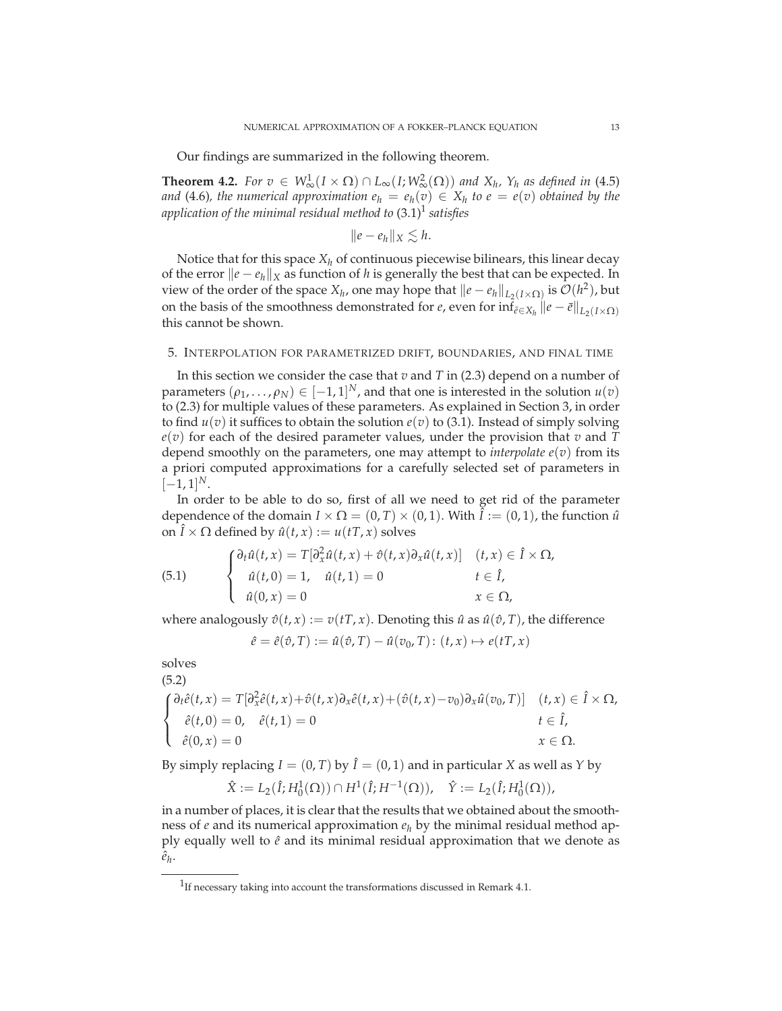Our findings are summarized in the following theorem.

**Theorem 4.2.** *For*  $v \in W^1_{\infty}(I \times \Omega) \cap L_{\infty}(I; W^2_{\infty}(\Omega))$  *and*  $X_h$ ,  $Y_h$  *as defined in* (4.5) *and* (4.6), the numerical approximation  $e_h = e_h(v) \in X_h$  to  $e = e(v)$  obtained by the *application of the minimal residual method to* (3.1)<sup>1</sup> *satisfies*

$$
||e-e_h||_X\lesssim h.
$$

Notice that for this space *X<sup>h</sup>* of continuous piecewise bilinears, this linear decay of the error  $\|e - e_h\|_X$  as function of *h* is generally the best that can be expected. In view of the order of the space *X<sub>h</sub>*, one may hope that  $\|e - e_h\|_{L_2(I \times \Omega)}$  is  $\mathcal{O}(h^2)$ , but on the basis of the smoothness demonstrated for *e*, even for  $\inf_{\bar{e}\in X_h} ||e - \bar{e}||_{L_2(I\times\Omega)}$ this cannot be shown.

#### 5. INTERPOLATION FOR PARAMETRIZED DRIFT, BOUNDARIES, AND FINAL TIME

In this section we consider the case that *v* and *T* in (2.3) depend on a number of parameters  $(\rho_1, ..., \rho_N) \in [-1, 1]^N$ , and that one is interested in the solution  $u(v)$ to (2.3) for multiple values of these parameters. As explained in Section 3, in order to find  $u(v)$  it suffices to obtain the solution  $e(v)$  to (3.1). Instead of simply solving *e*(*v*) for each of the desired parameter values, under the provision that *v* and *T* depend smoothly on the parameters, one may attempt to *interpolate*  $e(v)$  from its a priori computed approximations for a carefully selected set of parameters in  $[-1, 1]^{N}$ .

In order to be able to do so, first of all we need to get rid of the parameter dependence of the domain  $I \times \Omega = (0, T) \times (0, 1)$ . With  $\hat{I} := (0, 1)$ , the function  $\hat{u}$ on  $\hat{I} \times \Omega$  defined by  $\hat{u}(t, x) := u(tT, x)$  solves

(5.1) 
$$
\begin{cases} \partial_t \hat{u}(t,x) = T[\partial_x^2 \hat{u}(t,x) + \hat{v}(t,x) \partial_x \hat{u}(t,x)] & (t,x) \in \hat{I} \times \Omega, \\ \hat{u}(t,0) = 1, \quad \hat{u}(t,1) = 0 & t \in \hat{I}, \\ \hat{u}(0,x) = 0 & x \in \Omega, \end{cases}
$$

where analogously  $\hat{v}(t, x) := v(tT, x)$ . Denoting this  $\hat{u}$  as  $\hat{u}(\hat{v}, T)$ , the difference

$$
\hat{e} = \hat{e}(\hat{v}, T) := \hat{u}(\hat{v}, T) - \hat{u}(v_0, T) : (t, x) \mapsto e(tT, x)
$$

solves  $(5.2)$ 

$$
\begin{cases}\n\frac{\partial_t \hat{e}(t,x)}{\partial x} = T[\partial_x^2 \hat{e}(t,x) + \hat{v}(t,x)\partial_x \hat{e}(t,x) + (\hat{v}(t,x) - v_0)\partial_x \hat{u}(v_0, T)] & (t,x) \in \hat{I} \times \Omega, \\
\hat{e}(t,0) = 0, & \hat{e}(t,1) = 0 & t \in \hat{I}, \\
\hat{e}(0,x) = 0 & x \in \Omega.\n\end{cases}
$$

By simply replacing  $I = (0, T)$  by  $\hat{I} = (0, 1)$  and in particular *X* as well as *Y* by

$$
\hat{X} := L_2(\hat{I}; H_0^1(\Omega)) \cap H^1(\hat{I}; H^{-1}(\Omega)), \quad \hat{Y} := L_2(\hat{I}; H_0^1(\Omega)),
$$

in a number of places, it is clear that the results that we obtained about the smoothness of  $e$  and its numerical approximation  $e_h$  by the minimal residual method apply equally well to  $\hat{e}$  and its minimal residual approximation that we denote as  $\hat{e}_h$ .

 $1$ If necessary taking into account the transformations discussed in Remark 4.1.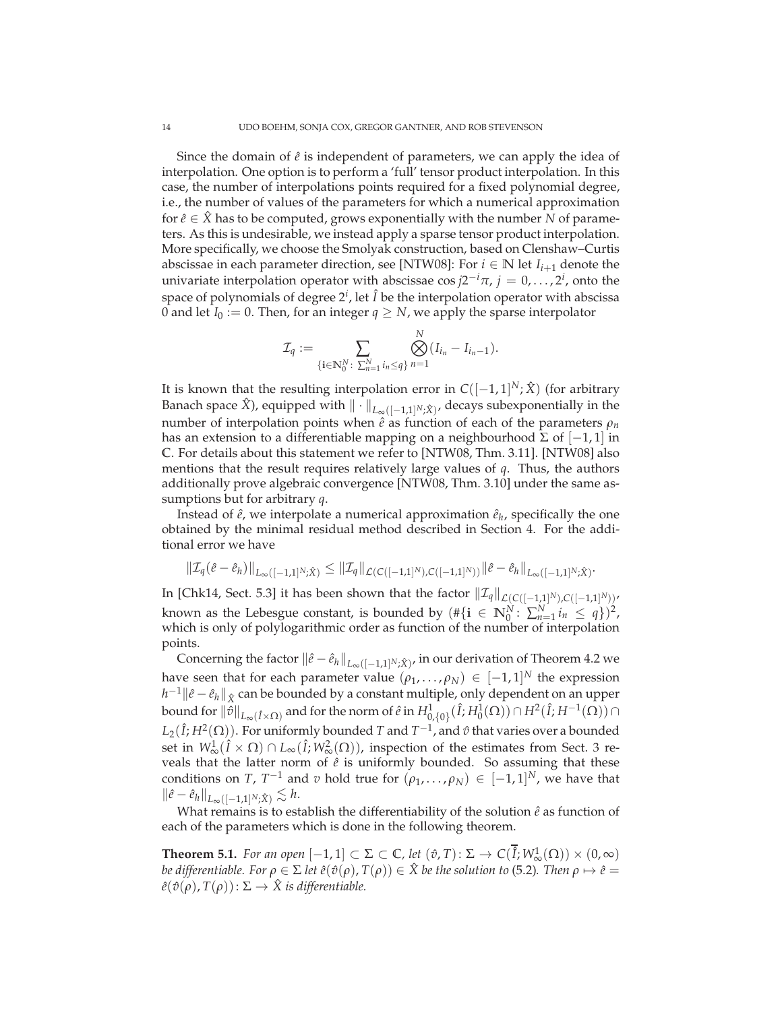Since the domain of  $\hat{e}$  is independent of parameters, we can apply the idea of interpolation. One option is to perform a 'full' tensor product interpolation. In this case, the number of interpolations points required for a fixed polynomial degree, i.e., the number of values of the parameters for which a numerical approximation for  $\hat{e} \in \hat{X}$  has to be computed, grows exponentially with the number *N* of parameters. As this is undesirable, we instead apply a sparse tensor product interpolation. More specifically, we choose the Smolyak construction, based on Clenshaw–Curtis abscissae in each parameter direction, see [NTW08]: For  $i \in \mathbb{N}$  let  $I_{i+1}$  denote the univariate interpolation operator with abscissae  $\cos j2^{-i}\pi$ ,  $j = 0, \ldots, 2^i$ , onto the space of polynomials of degree 2<sup>*i*</sup>, let *Î* be the interpolation operator with abscissa 0 and let  $I_0 := 0$ . Then, for an integer  $q \geq N$ , we apply the sparse interpolator

$$
\mathcal{I}_q := \sum_{\{i \in \mathbb{N}_0^N : \sum_{n=1}^N i_n \leq q\}} \bigotimes_{n=1}^N (I_{i_n} - I_{i_{n-1}}).
$$

It is known that the resulting interpolation error in  $C([-1, 1]^N; \hat{X})$  (for arbitrary Banach space  $\hat{X}$ ), equipped with  $\|\cdot\|_{L_{\infty}([-1,1]^N;\hat{X})}$ , decays subexponentially in the number of interpolation points when  $\hat{e}$  as function of each of the parameters  $\rho_n$ has an extension to a differentiable mapping on a neighbourhood  $\Sigma$  of  $[-1,1]$  in **C**. For details about this statement we refer to [NTW08, Thm. 3.11]. [NTW08] also mentions that the result requires relatively large values of *q*. Thus, the authors additionally prove algebraic convergence [NTW08, Thm. 3.10] under the same assumptions but for arbitrary *q*.

Instead of  $\hat{e}$ , we interpolate a numerical approximation  $\hat{e}_h$ , specifically the one obtained by the minimal residual method described in Section 4. For the additional error we have

$$
\|\mathcal{I}_q(\hat{e}-\hat{e}_h)\|_{L_\infty([-1,1]^N;\hat{X})} \le \|\mathcal{I}_q\|_{\mathcal{L}(C([-1,1]^N),C([-1,1]^N))} \|\hat{e}-\hat{e}_h\|_{L_\infty([-1,1]^N;\hat{X})}.
$$

In [Chk14, Sect. 5.3] it has been shown that the factor  $\|\mathcal{I}_q\|_{\mathcal{L}(C([-1,1]^N),C([-1,1]^N))}$ known as the Lebesgue constant, is bounded by  $(\#\{i \in \mathbb{N}_0^N \colon \sum_{n=1}^N i_n \leq q\})^2$ , which is only of polylogarithmic order as function of the number of interpolation points.

Concerning the factor  $\|\hat{e}-\hat{e}_h\|_{L_\infty([-1,1]^N;\hat{X})}$ , in our derivation of Theorem 4.2 we have seen that for each parameter value  $(\rho_1, \ldots, \rho_N) \in [-1,1]^N$  the expression *h*<sup>−1</sup>  $\|\hat{e}-\hat{e}_h\|_{\hat{X}}$  can be bounded by a constant multiple, only dependent on an upper bound for  $\|\hat{v}\|_{L_{\infty}(\hat{I}\times\Omega)}$  and for the norm of  $\hat{e}$  in  $H^1_{0,\{0\}}(\hat{I};H^1_0(\Omega))\cap H^2(\hat{I};H^{-1}(\Omega))\cap$  $L_2(\hat{I}; H^2(\Omega))$ . For uniformly bounded  $T$  and  $T^{-1}$ , and  $\hat{v}$  that varies over a bounded set in  $W^1_\infty(\hat{I} \times \Omega) \cap L_\infty(\hat{I}; W^2_\infty(\Omega))$ , inspection of the estimates from Sect. 3 reveals that the latter norm of  $\hat{e}$  is uniformly bounded. So assuming that these conditions on *T*,  $T^{-1}$  and *v* hold true for  $(\rho_1, \ldots, \rho_N) \in [-1, 1]^N$ , we have that  $\|\hat{e} - \hat{e}_h\|_{L_\infty([-1,1]^N:\hat{X})} \lesssim h.$ 

What remains is to establish the differentiability of the solution  $\hat{e}$  as function of each of the parameters which is done in the following theorem.

**Theorem 5.1.** *For an open*  $[-1, 1] \subset \Sigma \subset \mathbb{C}$ *, let*  $(\hat{v}, T) \colon \Sigma \to C(\hat{I}; W^1_{\infty}(\Omega)) \times (0, \infty)$ *be differentiable.* For  $\rho \in \Sigma$  *let*  $\hat{e}(\hat{v}(\rho), T(\rho)) \in \hat{X}$  *be the solution to* (5.2)*.* Then  $\rho \mapsto \hat{e}$  =  $\hat{e}(\hat{v}(\rho), T(\rho)) : \Sigma \to \hat{X}$  *is differentiable.*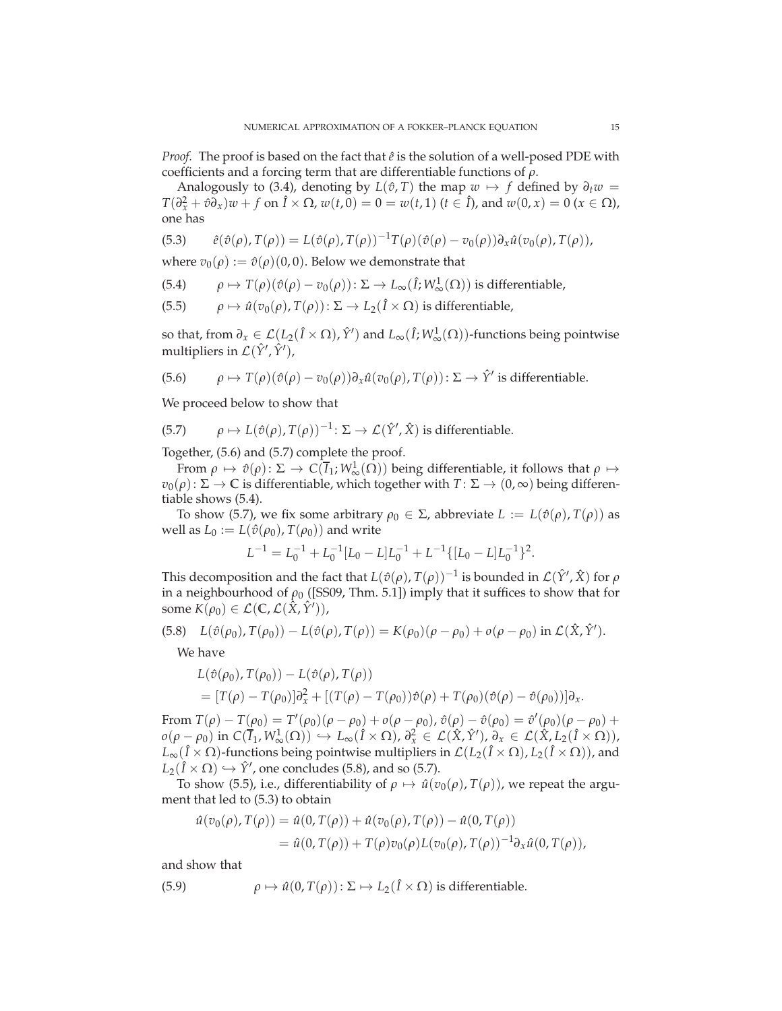*Proof.* The proof is based on the fact that  $\hat{e}$  is the solution of a well-posed PDE with coefficients and a forcing term that are differentiable functions of *ρ*.

Analogously to (3.4), denoting by  $L(\hat{v}, T)$  the map  $w \mapsto f$  defined by  $\partial_t w =$  $T(\partial_x^2 + \hat{v}\partial_x)w + f$  on  $\hat{I} \times \Omega$ ,  $w(t, 0) = 0 = w(t, 1)$  ( $t \in \hat{I}$ ), and  $w(0, x) = 0$  ( $x \in \Omega$ ), one has

(5.3) 
$$
\hat{e}(\hat{v}(\rho), T(\rho)) = L(\hat{v}(\rho), T(\rho))^{-1}T(\rho)(\hat{v}(\rho) - v_0(\rho))\partial_x \hat{u}(v_0(\rho), T(\rho)),
$$

where  $v_0(\rho) := \hat{v}(\rho)(0,0)$ . Below we demonstrate that

(5.4) 
$$
\rho \mapsto T(\rho)(\hat{v}(\rho) - v_0(\rho)) : \Sigma \to L_{\infty}(\hat{I}; W^1_{\infty}(\Omega)) \text{ is differentiable,}
$$

(5.5) 
$$
\rho \mapsto \hat{u}(v_0(\rho), T(\rho)) : \Sigma \to L_2(\hat{I} \times \Omega) \text{ is differentiable,}
$$

so that, from  $\partial_x \in \mathcal{L}(L_2(\hat{I} \times \Omega), \hat{Y}')$  and  $L_\infty(\hat{I}; W^1_\infty(\Omega))$ -functions being pointwise multipliers in  $\mathcal{L}(\hat{Y}', \hat{Y}')$ ,

(5.6) 
$$
\rho \mapsto T(\rho)(\hat{v}(\rho) - v_0(\rho))\partial_x \hat{u}(v_0(\rho), T(\rho)) : \Sigma \to \hat{Y}' \text{ is differentiable.}
$$

We proceed below to show that

(5.7) 
$$
\rho \mapsto L(\hat{v}(\rho), T(\rho))^{-1} \colon \Sigma \to \mathcal{L}(\hat{Y}', \hat{X}) \text{ is differentiable.}
$$

Together, (5.6) and (5.7) complete the proof.

From  $\rho \mapsto \hat{v}(\rho): \Sigma \to C(\overline{I}_1; W^1_{\infty}(\Omega))$  being differentiable, it follows that  $\rho \mapsto$  $v_0(\rho): \Sigma \to \mathbb{C}$  is differentiable, which together with  $T: \Sigma \to (0, \infty)$  being differentiable shows (5.4).

To show (5.7), we fix some arbitrary  $ρ_0 \n\in \Sigma$ , abbreviate  $L := L(\hat{v}(\rho), T(\rho))$  as well as  $L_0 := L(\hat{v}(\rho_0), T(\rho_0))$  and write

$$
L^{-1} = L_0^{-1} + L_0^{-1} [L_0 - L] L_0^{-1} + L^{-1} \{ [L_0 - L] L_0^{-1} \}^2.
$$

This decomposition and the fact that  $L(\hat{v}(\rho), T(\rho))^{-1}$  is bounded in  $\mathcal{L}(\hat{Y}', \hat{X})$  for  $\rho$ in a neighbourhood of  $\rho_0$  ([SS09, Thm. 5.1]) imply that it suffices to show that for some  $K(\rho_0) \in \mathcal{L}(\mathbb{C}, \mathcal{L}(\hat{X}, \hat{Y}'))$ ,

(5.8) 
$$
L(\hat{v}(\rho_0), T(\rho_0)) - L(\hat{v}(\rho), T(\rho)) = K(\rho_0)(\rho - \rho_0) + o(\rho - \rho_0) \text{ in } \mathcal{L}(\hat{X}, \hat{Y}').
$$

We have

$$
L(\hat{v}(\rho_0), T(\rho_0)) - L(\hat{v}(\rho), T(\rho))
$$
  
=  $[T(\rho) - T(\rho_0)]\partial_x^2 + [(T(\rho) - T(\rho_0))\hat{v}(\rho) + T(\rho_0)(\hat{v}(\rho) - \hat{v}(\rho_0))] \partial_x.$ 

From  $T(\rho) - T(\rho_0) = T'(\rho_0)(\rho - \rho_0) + o(\rho - \rho_0)$ ,  $\hat{v}(\rho) - \hat{v}(\rho_0) = \hat{v}'(\rho_0)(\rho - \rho_0) + o(\rho - \rho_0)$  $o(\rho - \rho_0)$  in  $C(\overline{I}_1, W^1_{\infty}(\Omega)) \hookrightarrow L_{\infty}(\hat{I} \times \Omega), \partial_x^2 \in \mathcal{L}(\hat{X}, \hat{Y}'), \partial_x \in \mathcal{L}(\hat{X}, L_2(\hat{I} \times \Omega)),$  $L_{\infty}(\hat{I} \times \Omega)$ -functions being pointwise multipliers in  $\mathcal{L}(L_2(\hat{I} \times \Omega), L_2(\hat{I} \times \Omega))$ , and  $L_2(I \times \Omega) \hookrightarrow \hat{Y}'$ , one concludes (5.8), and so (5.7).

To show (5.5), i.e., differentiability of  $\rho \mapsto \hat{u}(v_0(\rho), T(\rho))$ , we repeat the argument that led to (5.3) to obtain

$$
\hat{u}(v_0(\rho), T(\rho)) = \hat{u}(0, T(\rho)) + \hat{u}(v_0(\rho), T(\rho)) - \hat{u}(0, T(\rho)) \n= \hat{u}(0, T(\rho)) + T(\rho) v_0(\rho) L(v_0(\rho), T(\rho))^{-1} \partial_x \hat{u}(0, T(\rho)),
$$

and show that

(5.9) 
$$
\rho \mapsto \hat{u}(0, T(\rho)) : \Sigma \mapsto L_2(\hat{I} \times \Omega) \text{ is differentiable.}
$$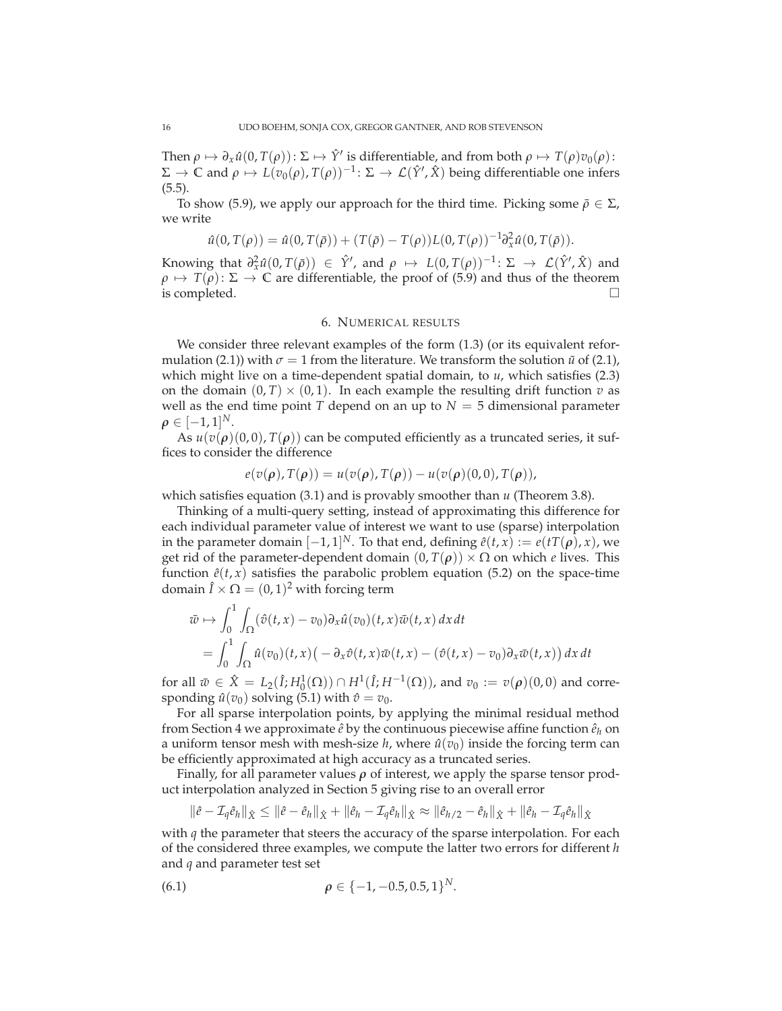Then  $\rho \mapsto \partial_x \hat{u}(0, T(\rho))$ :  $\Sigma \mapsto \hat{Y}'$  is differentiable, and from both  $\rho \mapsto T(\rho)v_0(\rho)$ :  $\Sigma \to \mathbb{C}$  and  $\rho \mapsto L(v_0(\rho), T(\rho))^{-1} \colon \Sigma \to \mathcal{L}(\hat{Y}', \hat{X})$  being differentiable one infers (5.5).

To show (5.9), we apply our approach for the third time. Picking some  $\bar{\rho} \in \Sigma$ , we write

$$
\hat{u}(0,T(\rho)) = \hat{u}(0,T(\bar{\rho})) + (T(\bar{\rho}) - T(\rho))L(0,T(\rho))^{-1}\partial_x^2 \hat{u}(0,T(\bar{\rho})).
$$

Knowing that  $\partial_x^2 \hat{u}(0, T(\bar{\rho})) \in \hat{Y}'$ , and  $\rho \mapsto L(0, T(\rho))^{-1} \colon \Sigma \to L(\hat{Y}', \hat{X})$  and  $\rho \mapsto T(\rho): \Sigma \to \mathbb{C}$  are differentiable, the proof of (5.9) and thus of the theorem is completed. is completed.

### 6. NUMERICAL RESULTS

We consider three relevant examples of the form (1.3) (or its equivalent reformulation (2.1)) with  $\sigma = 1$  from the literature. We transform the solution  $\tilde{u}$  of (2.1), which might live on a time-dependent spatial domain, to *u*, which satisfies (2.3) on the domain  $(0, T) \times (0, 1)$ . In each example the resulting drift function *v* as well as the end time point *T* depend on an up to  $N = 5$  dimensional parameter  $\rho \in [-1,1]^N$ .

As  $u(v(\rho)(0,0), T(\rho))$  can be computed efficiently as a truncated series, it suffices to consider the difference

 $e(v(\rho), T(\rho)) = u(v(\rho), T(\rho)) - u(v(\rho)(0,0), T(\rho)),$ 

which satisfies equation (3.1) and is provably smoother than *u* (Theorem 3.8).

Thinking of a multi-query setting, instead of approximating this difference for each individual parameter value of interest we want to use (sparse) interpolation in the parameter domain [−1, 1]<sup>*N*</sup>. To that end, defining  $\hat{e}(t, x) := e(tT(\rho), x)$ , we get rid of the parameter-dependent domain  $(0, T(\rho)) \times \Omega$  on which *e* lives. This function  $\hat{e}(t, x)$  satisfies the parabolic problem equation (5.2) on the space-time domain  $\hat{I} \times \Omega = (0, 1)^2$  with forcing term

$$
\bar{w} \mapsto \int_0^1 \int_{\Omega} (\hat{v}(t,x) - v_0) \partial_x \hat{u}(v_0)(t,x) \bar{w}(t,x) dx dt \n= \int_0^1 \int_{\Omega} \hat{u}(v_0)(t,x) \left( - \partial_x \hat{v}(t,x) \bar{w}(t,x) - (\hat{v}(t,x) - v_0) \partial_x \bar{w}(t,x) \right) dx dt
$$

for all  $\bar{w} \in \hat{X} = L_2(\hat{I}; H_0^1(\Omega)) \cap H^1(\hat{I}; H^{-1}(\Omega))$ , and  $v_0 := v(\rho)(0, 0)$  and corresponding  $\hat{u}(v_0)$  solving (5.1) with  $\hat{v} = v_0$ .

For all sparse interpolation points, by applying the minimal residual method from Section 4 we approximate  $\hat{e}$  by the continuous piecewise affine function  $\hat{e}_h$  on a uniform tensor mesh with mesh-size  $h$ , where  $\hat{u}(v_0)$  inside the forcing term can be efficiently approximated at high accuracy as a truncated series.

Finally, for all parameter values *ρ* of interest, we apply the sparse tensor product interpolation analyzed in Section 5 giving rise to an overall error

$$
\|\hat{e}-\mathcal{I}_q\hat{e}_h\|_{\hat{X}} \leq \|\hat{e}-\hat{e}_h\|_{\hat{X}} + \|\hat{e}_h-\mathcal{I}_q\hat{e}_h\|_{\hat{X}} \approx \|\hat{e}_h/2-\hat{e}_h\|_{\hat{X}} + \|\hat{e}_h-\mathcal{I}_q\hat{e}_h\|_{\hat{X}}
$$

with *q* the parameter that steers the accuracy of the sparse interpolation. For each of the considered three examples, we compute the latter two errors for different *h* and *q* and parameter test set

(6.1) 
$$
\rho \in \{-1, -0.5, 0.5, 1\}^N.
$$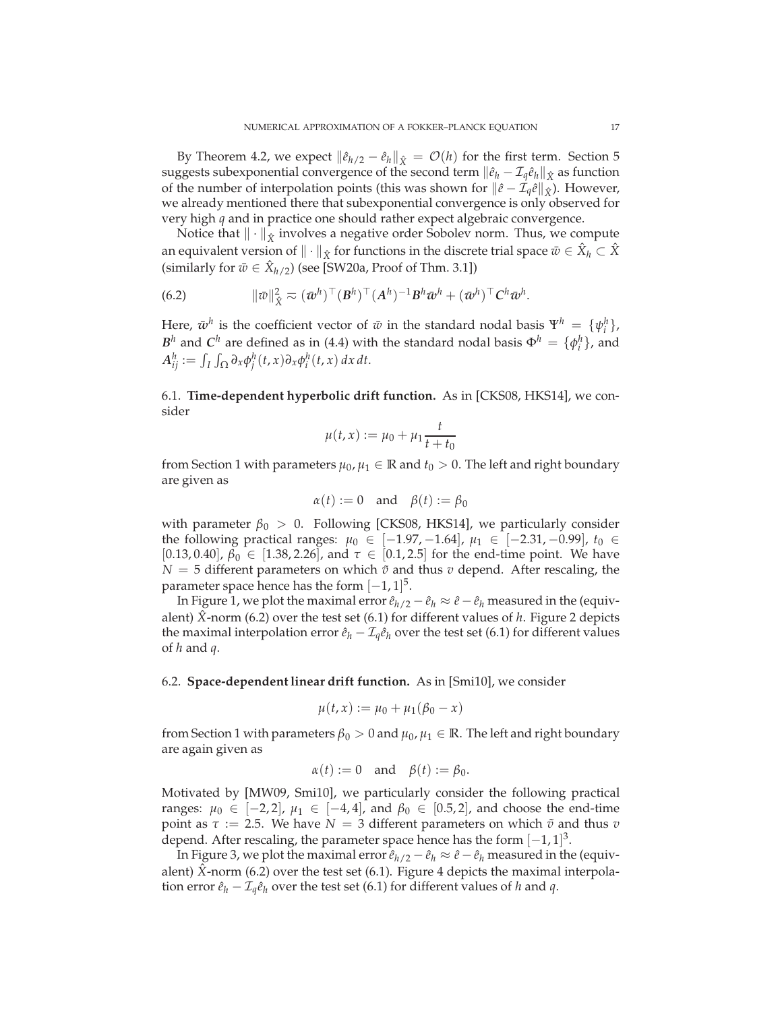By Theorem 4.2, we expect  $\|\hat{e}_{h/2} - \hat{e}_h\|_{\hat{X}} = \mathcal{O}(h)$  for the first term. Section 5 suggests subexponential convergence of the second term  $\|\hat{e}_h - \mathcal{I}_q\hat{e}_h\|_{\hat{X}}$  as function of the number of interpolation points (this was shown for  $\|\hat{e} - \mathcal{I}_q\hat{e}\|_{\hat{X}}$ ). However, we already mentioned there that subexponential convergence is only observed for very high *q* and in practice one should rather expect algebraic convergence.

Notice that  $\|\cdot\|_{\hat{X}}$  involves a negative order Sobolev norm. Thus, we compute an equivalent version of  $\|\cdot\|_{\hat{X}}$  for functions in the discrete trial space  $\bar{w}\in \hat{X}_h\subset \hat{X}$ (similarly for  $\bar{w} \in \hat{X}_{h/2}$ ) (see [SW20a, Proof of Thm. 3.1])

(6.2) 
$$
\|\bar{w}\|_{\hat{X}}^2 \approx (\bar{w}^h)^\top (B^h)^\top (A^h)^{-1} B^h \bar{w}^h + (\bar{w}^h)^\top C^h \bar{w}^h.
$$

Here,  $\bar{w}^h$  is the coefficient vector of  $\bar{w}$  in the standard nodal basis  $\Psi^h = {\psi_i^h}$ , *B*<sup>*h*</sup> and *C*<sup>*h*</sup> are defined as in (4.4) with the standard nodal basis  $\Phi$ <sup>*h*</sup> = { $\phi$ <sup>*h*</sup></sup>}, and  $A_{ij}^h := \int_I \int_{\Omega} \partial_x \phi_j^h(t, x) \partial_x \phi_i^h(t, x) dx dt.$ 

6.1. **Time-dependent hyperbolic drift function.** As in [CKS08, HKS14], we consider

$$
\mu(t, x) := \mu_0 + \mu_1 \frac{t}{t + t_0}
$$

from Section 1 with parameters  $\mu_0$ ,  $\mu_1 \in \mathbb{R}$  and  $t_0 > 0$ . The left and right boundary are given as

$$
\alpha(t) := 0 \quad \text{and} \quad \beta(t) := \beta_0
$$

with parameter  $\beta_0 > 0$ . Following [CKS08, HKS14], we particularly consider the following practical ranges:  $\mu_0 \in [-1.97, -1.64]$ ,  $\mu_1 \in [-2.31, -0.99]$ ,  $t_0 \in$ [0.13, 0.40],  $β_0 \in [1.38, 2.26]$ , and  $τ \in [0.1, 2.5]$  for the end-time point. We have  $N = 5$  different parameters on which  $\tilde{v}$  and thus *v* depend. After rescaling, the parameter space hence has the form  $[-1, 1]^{5}$ .

In Figure 1, we plot the maximal error  $\hat{e}_{h/2} - \hat{e}_h \approx \hat{e} - \hat{e}_h$  measured in the (equivalent) *X*ˆ -norm (6.2) over the test set (6.1) for different values of *h*. Figure 2 depicts the maximal interpolation error  $\hat{e}_h - \mathcal{I}_q \hat{e}_h$  over the test set (6.1) for different values of *h* and *q*.

### 6.2. **Space-dependent linear drift function.** As in [Smi10], we consider

$$
\mu(t, x) := \mu_0 + \mu_1(\beta_0 - x)
$$

from Section 1 with parameters  $\beta_0 > 0$  and  $\mu_0, \mu_1 \in \mathbb{R}$ . The left and right boundary are again given as

$$
\alpha(t) := 0
$$
 and  $\beta(t) := \beta_0$ .

Motivated by [MW09, Smi10], we particularly consider the following practical ranges:  $\mu_0$  ∈ [-2, 2],  $\mu_1$  ∈ [-4, 4], and  $\beta_0$  ∈ [0.5, 2], and choose the end-time point as  $\tau := 2.5$ . We have  $N = 3$  different parameters on which  $\tilde{\sigma}$  and thus  $v$ depend. After rescaling, the parameter space hence has the form  $[-1, 1]^3$ .

In Figure 3, we plot the maximal error  $\hat{e}_{h/2} - \hat{e}_h \approx \hat{e} - \hat{e}_h$  measured in the (equivalent)  $\hat{X}$ -norm (6.2) over the test set (6.1). Figure 4 depicts the maximal interpolation error  $\hat{e}_h - \mathcal{I}_q \hat{e}_h$  over the test set (6.1) for different values of *h* and *q*.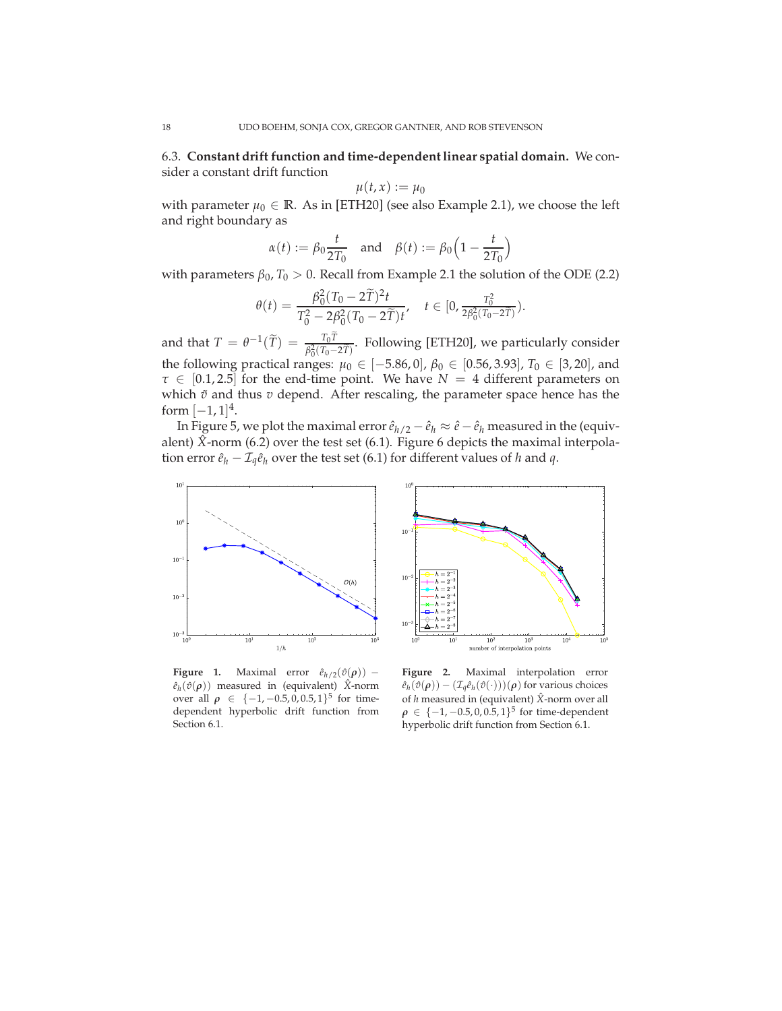6.3. **Constant drift function and time-dependent linear spatial domain.** We consider a constant drift function

$$
\mu(t,x):=\mu_0
$$

with parameter  $\mu_0 \in \mathbb{R}$ . As in [ETH20] (see also Example 2.1), we choose the left and right boundary as

$$
\alpha(t) := \beta_0 \frac{t}{2T_0} \quad \text{and} \quad \beta(t) := \beta_0 \Big( 1 - \frac{t}{2T_0} \Big)
$$

with parameters  $\beta_0$ ,  $T_0 > 0$ . Recall from Example 2.1 the solution of the ODE (2.2)

$$
\theta(t) = \frac{\beta_0^2 (T_0 - 2\tilde{T})^2 t}{T_0^2 - 2\beta_0^2 (T_0 - 2\tilde{T})t}, \quad t \in [0, \frac{T_0^2}{2\beta_0^2 (T_0 - 2\tilde{T})}).
$$

and that  $T = \theta^{-1}(\widetilde{T}) = \frac{T_0 T}{\beta_0^2 (T_0 - 2\widetilde{T})}$ . Following [ETH20], we particularly consider the following practical ranges:  $μ_0 ∈ [-5.86, 0], β_0 ∈ [0.56, 3.93], T_0 ∈ [3, 20]$ , and *τ* ∈ [0.1, 2.5] for the end-time point. We have *N* = 4 different parameters on which  $\tilde{v}$  and thus  $v$  depend. After rescaling, the parameter space hence has the form  $[-1, 1]^4$ .

In Figure 5, we plot the maximal error  $\hat{e}_{h/2} - \hat{e}_h \approx \hat{e} - \hat{e}_h$  measured in the (equivalent)  $\hat{X}$ -norm (6.2) over the test set (6.1). Figure 6 depicts the maximal interpolation error  $\hat{e}_h - \mathcal{I}_q \hat{e}_h$  over the test set (6.1) for different values of *h* and *q*.





**Figure 1.** Maximal error  $\hat{e}_{h/2}(\hat{v}(\rho))$  –  $\hat{e}_h(\hat{v}(\rho))$  measured in (equivalent)  $\hat{X}$ -norm over all  $\rho \in \{-1, -0.5, 0, 0.5, 1\}^5$  for timedependent hyperbolic drift function from Section 6.1.

**Figure 2.** Maximal interpolation error  $\hat{e}_h(\hat{v}(\rho)) - (\mathcal{I}_q \hat{e}_h(\hat{v}(\cdot)))(\rho)$  for various choices of *h* measured in (equivalent) *X*ˆ-norm over all  $\rho \in \{-1, -0.5, 0, 0.5, 1\}^5$  for time-dependent hyperbolic drift function from Section 6.1.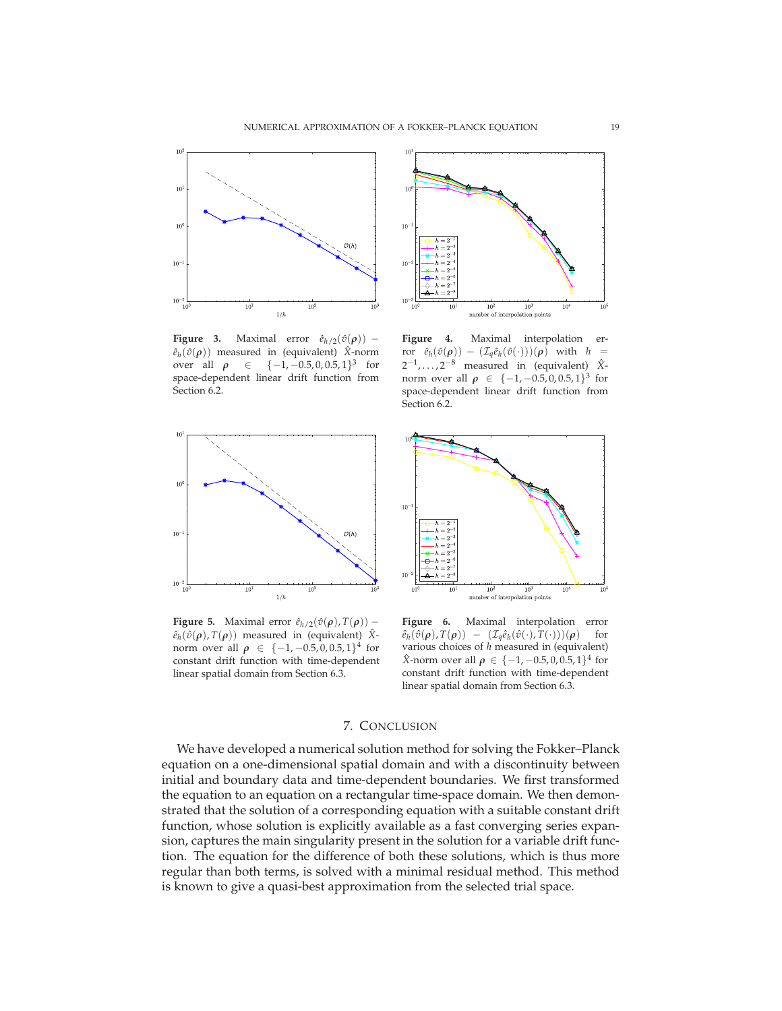

**Figure 3.** Maximal error  $\hat{e}_{h/2}(\hat{v}(\rho))$  –  $\hat{e}_h(\hat{v}(\rho))$  measured in (equivalent)  $\hat{X}$ -norm over all  $\rho \in \{-1, -0.5, 0, 0.5, 1\}^3$  for space-dependent linear drift function from Section 6.2.



**Figure 4.** Maximal interpolation er- $\text{for} \quad \hat{e}_h(\hat{v}(\rho)) \ - \ (\mathcal{I}_q\hat{e}_h(\hat{v}(\cdot)))(\rho) \quad \text{with} \quad h \ =$ 2<sup>-1</sup>,...,2<sup>-8</sup> measured in (equivalent)  $\hat{X}$ norm over all  $\rho \in \{-1, -0.5, 0, 0.5, 1\}^3$  for space-dependent linear drift function from Section 6.2.



**Figure 5.** Maximal error  $\hat{e}_{h/2}(\hat{v}(\rho), T(\rho))$  –  $\hat{e}_h(\hat{v}(\rho), T(\rho))$  measured in (equivalent) X<sup>2</sup>norm over all  $\rho \in \{-1, -0.5, 0, 0.5, 1\}^4$  for constant drift function with time-dependent linear spatial domain from Section 6.3.



**Figure 6.** Maximal interpolation error  $\hat{e}_h(\hat{v}(\rho), T(\rho)) - (\mathcal{I}_q \hat{e}_h(\hat{v}(\cdot), T(\cdot)))(\rho)$  for various choices of *h* measured in (equivalent)  $\hat{X}$ -norm over all  $\rho \in \{-1, -0.5, 0, 0.5, 1\}^4$  for constant drift function with time-dependent linear spatial domain from Section 6.3.

## 7. CONCLUSION

We have developed a numerical solution method for solving the Fokker–Planck equation on a one-dimensional spatial domain and with a discontinuity between initial and boundary data and time-dependent boundaries. We first transformed the equation to an equation on a rectangular time-space domain. We then demonstrated that the solution of a corresponding equation with a suitable constant drift function, whose solution is explicitly available as a fast converging series expansion, captures the main singularity present in the solution for a variable drift function. The equation for the difference of both these solutions, which is thus more regular than both terms, is solved with a minimal residual method. This method is known to give a quasi-best approximation from the selected trial space.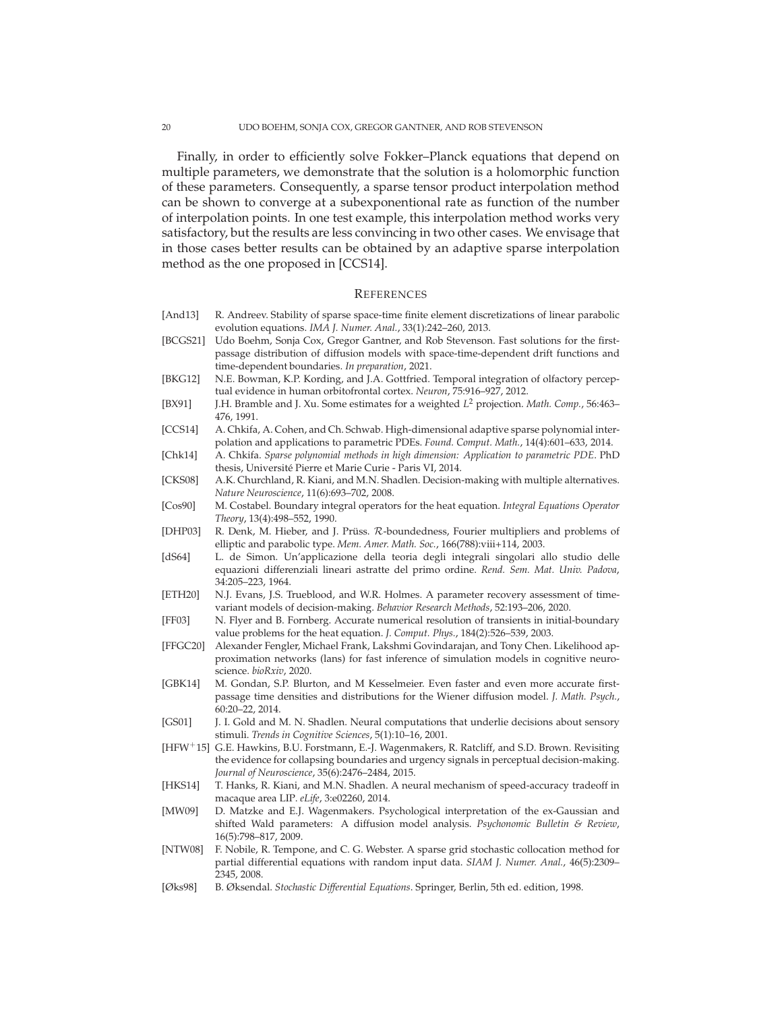Finally, in order to efficiently solve Fokker–Planck equations that depend on multiple parameters, we demonstrate that the solution is a holomorphic function of these parameters. Consequently, a sparse tensor product interpolation method can be shown to converge at a subexponentional rate as function of the number of interpolation points. In one test example, this interpolation method works very satisfactory, but the results are less convincing in two other cases. We envisage that in those cases better results can be obtained by an adaptive sparse interpolation method as the one proposed in [CCS14].

#### **REFERENCES**

- [And13] R. Andreev. Stability of sparse space-time finite element discretizations of linear parabolic evolution equations. *IMA J. Numer. Anal.*, 33(1):242–260, 2013.
- [BCGS21] Udo Boehm, Sonja Cox, Gregor Gantner, and Rob Stevenson. Fast solutions for the firstpassage distribution of diffusion models with space-time-dependent drift functions and time-dependent boundaries. *In preparation*, 2021.
- [BKG12] N.E. Bowman, K.P. Kording, and J.A. Gottfried. Temporal integration of olfactory perceptual evidence in human orbitofrontal cortex. *Neuron*, 75:916–927, 2012.
- [BX91] J.H. Bramble and J. Xu. Some estimates for a weighted *L* <sup>2</sup> projection. *Math. Comp.*, 56:463– 476, 1991.
- [CCS14] A. Chkifa, A. Cohen, and Ch. Schwab. High-dimensional adaptive sparse polynomial interpolation and applications to parametric PDEs. *Found. Comput. Math.*, 14(4):601–633, 2014.
- [Chk14] A. Chkifa. *Sparse polynomial methods in high dimension: Application to parametric PDE*. PhD thesis, Université Pierre et Marie Curie - Paris VI, 2014.
- [CKS08] A.K. Churchland, R. Kiani, and M.N. Shadlen. Decision-making with multiple alternatives. *Nature Neuroscience*, 11(6):693–702, 2008.
- [Cos90] M. Costabel. Boundary integral operators for the heat equation. *Integral Equations Operator Theory*, 13(4):498–552, 1990.
- [DHP03] R. Denk, M. Hieber, and J. Prüss. R-boundedness, Fourier multipliers and problems of elliptic and parabolic type. *Mem. Amer. Math. Soc.*, 166(788):viii+114, 2003.
- [dS64] L. de Simon. Un'applicazione della teoria degli integrali singolari allo studio delle equazioni differenziali lineari astratte del primo ordine. *Rend. Sem. Mat. Univ. Padova*, 34:205–223, 1964.
- [ETH20] N.J. Evans, J.S. Trueblood, and W.R. Holmes. A parameter recovery assessment of timevariant models of decision-making. *Behavior Research Methods*, 52:193–206, 2020.
- [FF03] N. Flyer and B. Fornberg. Accurate numerical resolution of transients in initial-boundary value problems for the heat equation. *J. Comput. Phys.*, 184(2):526–539, 2003.
- [FFGC20] Alexander Fengler, Michael Frank, Lakshmi Govindarajan, and Tony Chen. Likelihood approximation networks (lans) for fast inference of simulation models in cognitive neuroscience. *bioRxiv*, 2020.
- [GBK14] M. Gondan, S.P. Blurton, and M Kesselmeier. Even faster and even more accurate firstpassage time densities and distributions for the Wiener diffusion model. *J. Math. Psych.*, 60:20–22, 2014.
- [GS01] J. I. Gold and M. N. Shadlen. Neural computations that underlie decisions about sensory stimuli. *Trends in Cognitive Sciences*, 5(1):10–16, 2001.
- [HFW+15] G.E. Hawkins, B.U. Forstmann, E.-J. Wagenmakers, R. Ratcliff, and S.D. Brown. Revisiting the evidence for collapsing boundaries and urgency signals in perceptual decision-making. *Journal of Neuroscience*, 35(6):2476–2484, 2015.
- [HKS14] T. Hanks, R. Kiani, and M.N. Shadlen. A neural mechanism of speed-accuracy tradeoff in macaque area LIP. *eLife*, 3:e02260, 2014.
- [MW09] D. Matzke and E.J. Wagenmakers. Psychological interpretation of the ex-Gaussian and shifted Wald parameters: A diffusion model analysis. *Psychonomic Bulletin & Review*, 16(5):798–817, 2009.
- [NTW08] F. Nobile, R. Tempone, and C. G. Webster. A sparse grid stochastic collocation method for partial differential equations with random input data. *SIAM J. Numer. Anal.*, 46(5):2309– 2345, 2008.
- [Øks98] B. Øksendal. *Stochastic Differential Equations*. Springer, Berlin, 5th ed. edition, 1998.